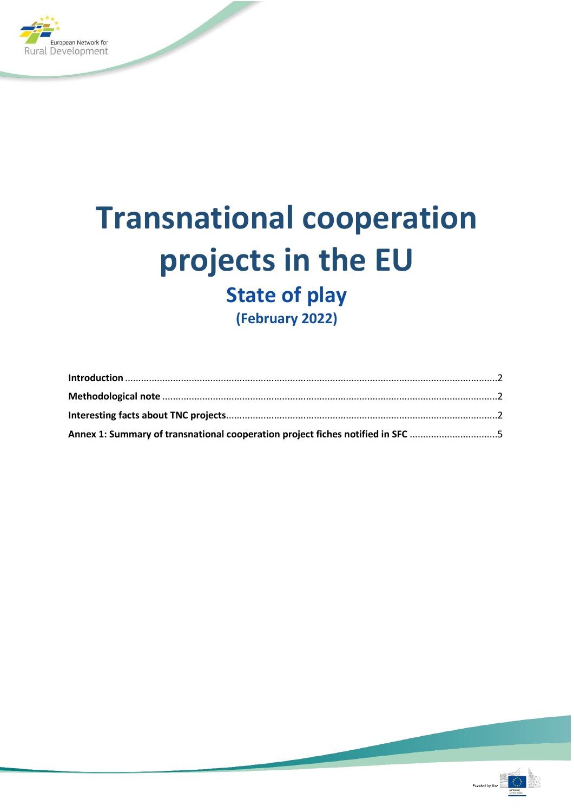

# **Transnational cooperation projects in the EU State of play (February 2022)**

**Introduction** [............................................................................................................................................2](#page-1-0) **Methodological note** [..............................................................................................................................2](#page-1-1) **Interesting facts about TNC projects**[......................................................................................................2](#page-1-2)

**[Annex 1: Summary of transnational cooperation project fiches notified in SFC](#page-4-0)** .................................5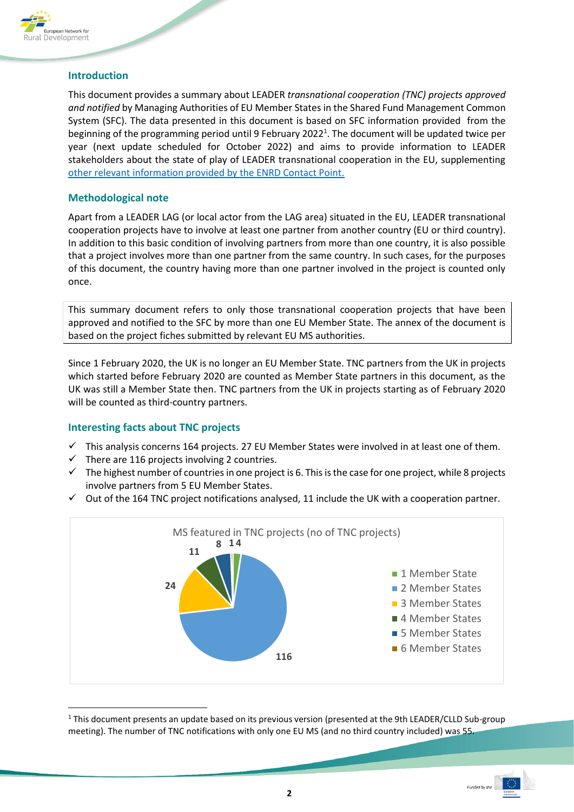

#### <span id="page-1-0"></span>**Introduction**

This document provides a summary about LEADER *transnational cooperation (TNC) projects approved and notified* by Managing Authorities of EU Member States in the Shared Fund Management Common System (SFC). The data presented in this document is based on SFC information provided from the beginning of the programming period until 9 February 2022<sup>1</sup>. The document will be updated twice per year (next update scheduled for October 2022) and aims to provide information to LEADER stakeholders about the state of play of LEADER transnational cooperation in the EU, supplementing [other relevant information provided by the ENRD Contact Point.](https://enrd.ec.europa.eu/leader-clld/leader-cooperation_en)

### <span id="page-1-1"></span>**Methodological note**

Apart from a LEADER LAG (or local actor from the LAG area) situated in the EU, LEADER transnational cooperation projects have to involve at least one partner from another country (EU or third country). In addition to this basic condition of involving partners from more than one country, it is also possible that a project involves more than one partner from the same country. In such cases, for the purposes of this document, the country having more than one partner involved in the project is counted only once.

This summary document refers to only those transnational cooperation projects that have been approved and notified to the SFC by more than one EU Member State. The annex of the document is based on the project fiches submitted by relevant EU MS authorities.

Since 1 February 2020, the UK is no longer an EU Member State. TNC partners from the UK in projects which started before February 2020 are counted as Member State partners in this document, as the UK was still a Member State then. TNC partners from the UK in projects starting as of February 2020 will be counted as third-country partners.

### <span id="page-1-2"></span>**Interesting facts about TNC projects**

- $\checkmark$  This analysis concerns 164 projects. 27 EU Member States were involved in at least one of them.
- There are 116 projects involving 2 countries.
- $\checkmark$  The highest number of countries in one project is 6. This is the case for one project, while 8 projects involve partners from 5 EU Member States.
- $\checkmark$  Out of the 164 TNC project notifications analysed, 11 include the UK with a cooperation partner.



<sup>1</sup> This document presents an update based on its previous version (presented at the 9th LEADER/CLLD Sub-group meeting). The number of TNC notifications with only one EU MS (and no third country included) was 55.

ĺ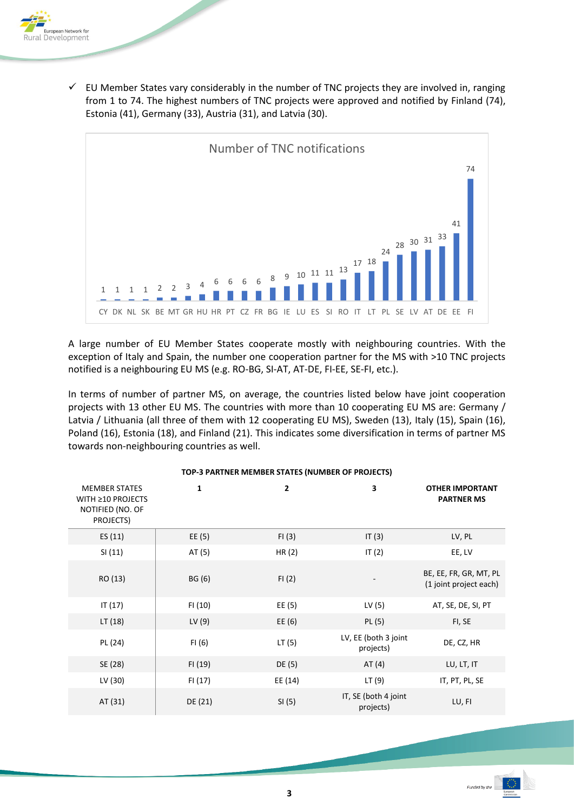

 $\checkmark$  EU Member States vary considerably in the number of TNC projects they are involved in, ranging from 1 to 74. The highest numbers of TNC projects were approved and notified by Finland (74), Estonia (41), Germany (33), Austria (31), and Latvia (30).



A large number of EU Member States cooperate mostly with neighbouring countries. With the exception of Italy and Spain, the number one cooperation partner for the MS with >10 TNC projects notified is a neighbouring EU MS (e.g. RO-BG, SI-AT, AT-DE, FI-EE, SE-FI, etc.).

In terms of number of partner MS, on average, the countries listed below have joint cooperation projects with 13 other EU MS. The countries with more than 10 cooperating EU MS are: Germany / Latvia / Lithuania (all three of them with 12 cooperating EU MS), Sweden (13), Italy (15), Spain (16), Poland (16), Estonia (18), and Finland (21). This indicates some diversification in terms of partner MS towards non-neighbouring countries as well.

| <b>MEMBER STATES</b><br>WITH ≥10 PROJECTS<br>NOTIFIED (NO. OF<br>PROJECTS) | 1       | $\overline{2}$ | 3                                 | <b>OTHER IMPORTANT</b><br><b>PARTNER MS</b>      |
|----------------------------------------------------------------------------|---------|----------------|-----------------------------------|--------------------------------------------------|
| ES (11)                                                                    | EE (5)  | FI(3)          | IT(3)                             | LV, PL                                           |
| SI(11)                                                                     | AT (5)  | HR $(2)$       | IT $(2)$                          | EE, LV                                           |
| RO (13)                                                                    | BG (6)  | FI(2)          |                                   | BE, EE, FR, GR, MT, PL<br>(1 joint project each) |
| IT (17)                                                                    | FI (10) | EE (5)         | LV (5)                            | AT, SE, DE, SI, PT                               |
| LT (18)                                                                    | LV(9)   | EE $(6)$       | PL(5)                             | FI, SE                                           |
| PL (24)                                                                    | FI(6)   | LT(5)          | LV, EE (both 3 joint<br>projects) | DE, CZ, HR                                       |
| SE (28)                                                                    | FI (19) | DE (5)         | AT $(4)$                          | LU, LT, IT                                       |
| LV (30)                                                                    | FI (17) | EE (14)        | LT(9)                             | IT, PT, PL, SE                                   |
| AT (31)                                                                    | DE (21) | SI (5)         | IT, SE (both 4 joint<br>projects) | LU, FI                                           |

#### **TOP-3 PARTNER MEMBER STATES (NUMBER OF PROJECTS)**

ĺ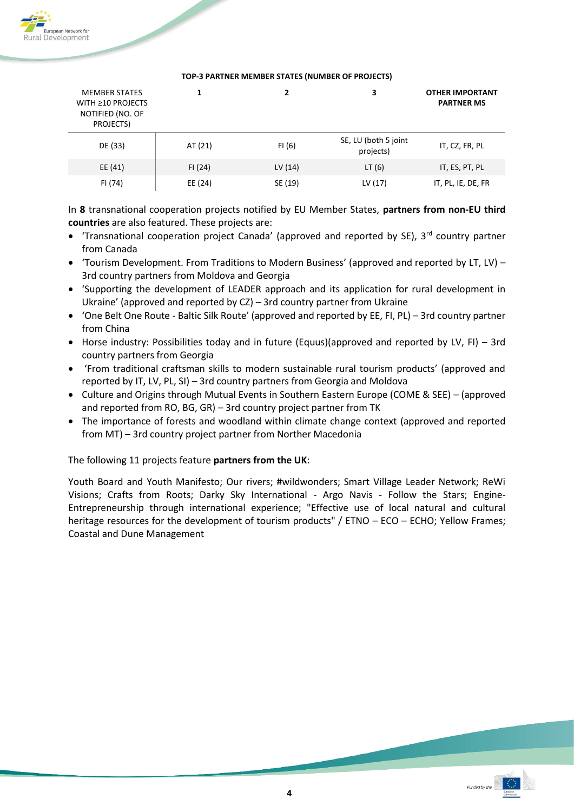

| <b>MEMBER STATES</b><br>WITH ≥10 PROJECTS<br>NOTIFIED (NO. OF<br>PROJECTS) |         |         | 3                                 | <b>OTHER IMPORTANT</b><br><b>PARTNER MS</b> |
|----------------------------------------------------------------------------|---------|---------|-----------------------------------|---------------------------------------------|
| DE (33)                                                                    | AT (21) | FI (6)  | SE, LU (both 5 joint<br>projects) | IT, CZ, FR, PL                              |
| EE (41)                                                                    | FI(24)  | LV (14) | LT(6)                             | IT, ES, PT, PL                              |
| FI (74)                                                                    | EE (24) | SE (19) | LV (17)                           | IT, PL, IE, DE, FR                          |

#### **TOP-3 PARTNER MEMBER STATES (NUMBER OF PROJECTS)**

In **8** transnational cooperation projects notified by EU Member States, **partners from non-EU third countries** are also featured. These projects are:

- Transnational cooperation project Canada' (approved and reported by SE),  $3<sup>rd</sup>$  country partner from Canada
- 'Tourism Development. From Traditions to Modern Business' (approved and reported by LT, LV) 3rd country partners from Moldova and Georgia
- 'Supporting the development of LEADER approach and its application for rural development in Ukraine' (approved and reported by CZ) – 3rd country partner from Ukraine
- 'One Belt One Route Baltic Silk Route' (approved and reported by EE, FI, PL) 3rd country partner from China
- Horse industry: Possibilities today and in future (Equus)(approved and reported by LV, FI) 3rd country partners from Georgia
- 'From traditional craftsman skills to modern sustainable rural tourism products' (approved and reported by IT, LV, PL, SI) – 3rd country partners from Georgia and Moldova
- Culture and Origins through Mutual Events in Southern Eastern Europe (COME & SEE) (approved and reported from RO, BG, GR) – 3rd country project partner from TK
- The importance of forests and woodland within climate change context (approved and reported from MT) – 3rd country project partner from Norther Macedonia

The following 11 projects feature **partners from the UK**:

Youth Board and Youth Manifesto; Our rivers; #wildwonders; Smart Village Leader Network; ReWi Visions; Crafts from Roots; Darky Sky International - Argo Navis - Follow the Stars; Engine-Entrepreneurship through international experience; "Effective use of local natural and cultural heritage resources for the development of tourism products" / ETNO - ECO - ECHO; Yellow Frames; Coastal and Dune Management

ĺ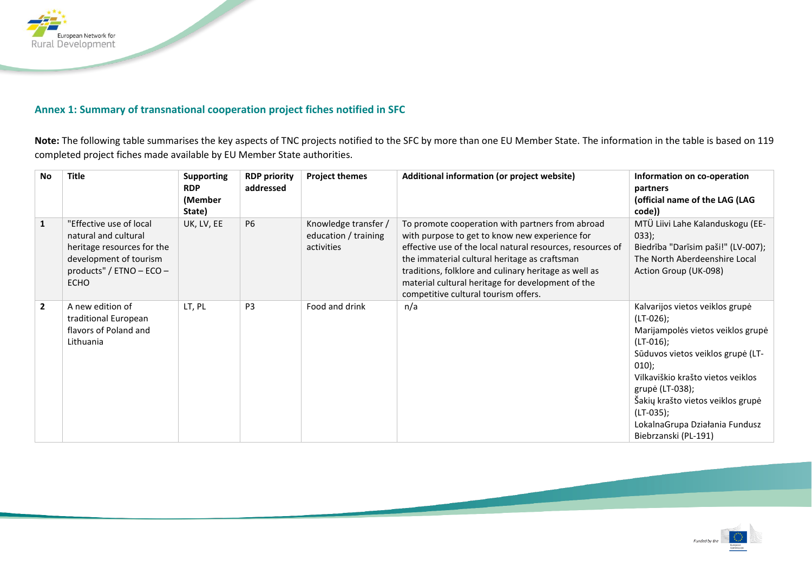

## **Annex 1: Summary of transnational cooperation project fiches notified in SFC**

**Note:** The following table summarises the key aspects of TNC projects notified to the SFC by more than one EU Member State. The information in the table is based on 119 completed project fiches made available by EU Member State authorities.

<span id="page-4-0"></span>

| No             | <b>Title</b>                                                                                                                                       | <b>Supporting</b><br><b>RDP</b><br>(Member<br>State) | <b>RDP priority</b><br>addressed | <b>Project themes</b>                                      | Additional information (or project website)                                                                                                                                                                                                                                                                                                                             | Information on co-operation<br>partners<br>(official name of the LAG (LAG<br>code))                                                                                                                                                                                                                                      |
|----------------|----------------------------------------------------------------------------------------------------------------------------------------------------|------------------------------------------------------|----------------------------------|------------------------------------------------------------|-------------------------------------------------------------------------------------------------------------------------------------------------------------------------------------------------------------------------------------------------------------------------------------------------------------------------------------------------------------------------|--------------------------------------------------------------------------------------------------------------------------------------------------------------------------------------------------------------------------------------------------------------------------------------------------------------------------|
| $\mathbf{1}$   | "Effective use of local<br>natural and cultural<br>heritage resources for the<br>development of tourism<br>products" / ETNO - ECO -<br><b>ECHO</b> | UK, LV, EE                                           | <b>P6</b>                        | Knowledge transfer /<br>education / training<br>activities | To promote cooperation with partners from abroad<br>with purpose to get to know new experience for<br>effective use of the local natural resources, resources of<br>the immaterial cultural heritage as craftsman<br>traditions, folklore and culinary heritage as well as<br>material cultural heritage for development of the<br>competitive cultural tourism offers. | MTÜ Liivi Lahe Kalanduskogu (EE-<br>$033$ :<br>Biedrība "Darīsim paši!" (LV-007);<br>The North Aberdeenshire Local<br>Action Group (UK-098)                                                                                                                                                                              |
| $\overline{2}$ | A new edition of<br>traditional European<br>flavors of Poland and<br>Lithuania                                                                     | LT, PL                                               | P <sub>3</sub>                   | Food and drink                                             | n/a                                                                                                                                                                                                                                                                                                                                                                     | Kalvarijos vietos veiklos grupė<br>$(LT-026)$ ;<br>Marijampolės vietos veiklos grupė<br>$(LT-016)$ ;<br>Sūduvos vietos veiklos grupė (LT-<br>$010$ :<br>Vilkaviškio krašto vietos veiklos<br>grupė (LT-038);<br>Šakių krašto vietos veiklos grupė<br>(LT-035);<br>LokalnaGrupa Działania Fundusz<br>Biebrzanski (PL-191) |

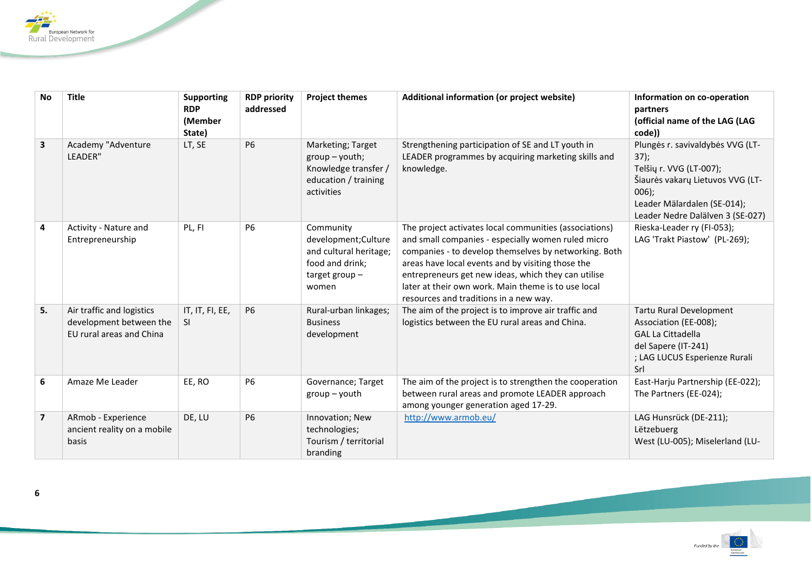

| <b>No</b>      | <b>Title</b>                                                                     | <b>Supporting</b><br><b>RDP</b><br>(Member<br>State) | <b>RDP</b> priority<br>addressed | <b>Project themes</b>                                                                                       | Additional information (or project website)                                                                                                                                                                                                                                                                                                                                        | Information on co-operation<br>partners<br>(official name of the LAG (LAG<br>code))                                                                                                   |
|----------------|----------------------------------------------------------------------------------|------------------------------------------------------|----------------------------------|-------------------------------------------------------------------------------------------------------------|------------------------------------------------------------------------------------------------------------------------------------------------------------------------------------------------------------------------------------------------------------------------------------------------------------------------------------------------------------------------------------|---------------------------------------------------------------------------------------------------------------------------------------------------------------------------------------|
| $\mathbf{3}$   | Academy "Adventure<br>LEADER"                                                    | LT, SE                                               | <b>P6</b>                        | Marketing; Target<br>$group - youth;$<br>Knowledge transfer /<br>education / training<br>activities         | Strengthening participation of SE and LT youth in<br>LEADER programmes by acquiring marketing skills and<br>knowledge.                                                                                                                                                                                                                                                             | Plungės r. savivaldybės VVG (LT-<br>37);<br>Telšių r. VVG (LT-007);<br>Šiaurės vakarų Lietuvos VVG (LT-<br>$006$ ;<br>Leader Mälardalen (SE-014);<br>Leader Nedre Dalälven 3 (SE-027) |
| 4              | Activity - Nature and<br>Entrepreneurship                                        | PL, FI                                               | <b>P6</b>                        | Community<br>development; Culture<br>and cultural heritage;<br>food and drink;<br>target group $-$<br>women | The project activates local communities (associations)<br>and small companies - especially women ruled micro<br>companies - to develop themselves by networking. Both<br>areas have local events and by visiting those the<br>entrepreneurs get new ideas, which they can utilise<br>later at their own work. Main theme is to use local<br>resources and traditions in a new way. | Rieska-Leader ry (FI-053);<br>LAG 'Trakt Piastow' (PL-269);                                                                                                                           |
| 5.             | Air traffic and logistics<br>development between the<br>EU rural areas and China | IT, IT, FI, EE,<br>-SI                               | <b>P6</b>                        | Rural-urban linkages;<br><b>Business</b><br>development                                                     | The aim of the project is to improve air traffic and<br>logistics between the EU rural areas and China.                                                                                                                                                                                                                                                                            | Tartu Rural Development<br>Association (EE-008);<br><b>GAL La Cittadella</b><br>del Sapere (IT-241)<br>; LAG LUCUS Esperienze Rurali<br>Srl                                           |
| 6              | Amaze Me Leader                                                                  | EE, RO                                               | <b>P6</b>                        | Governance; Target<br>group - youth                                                                         | The aim of the project is to strengthen the cooperation<br>between rural areas and promote LEADER approach<br>among younger generation aged 17-29.                                                                                                                                                                                                                                 | East-Harju Partnership (EE-022);<br>The Partners (EE-024);                                                                                                                            |
| $\overline{7}$ | ARmob - Experience<br>ancient reality on a mobile<br>basis                       | DE, LU                                               | <b>P6</b>                        | Innovation; New<br>technologies;<br>Tourism / territorial<br>branding                                       | http://www.armob.eu/                                                                                                                                                                                                                                                                                                                                                               | LAG Hunsrück (DE-211);<br>Lëtzebuerg<br>West (LU-005); Miselerland (LU-                                                                                                               |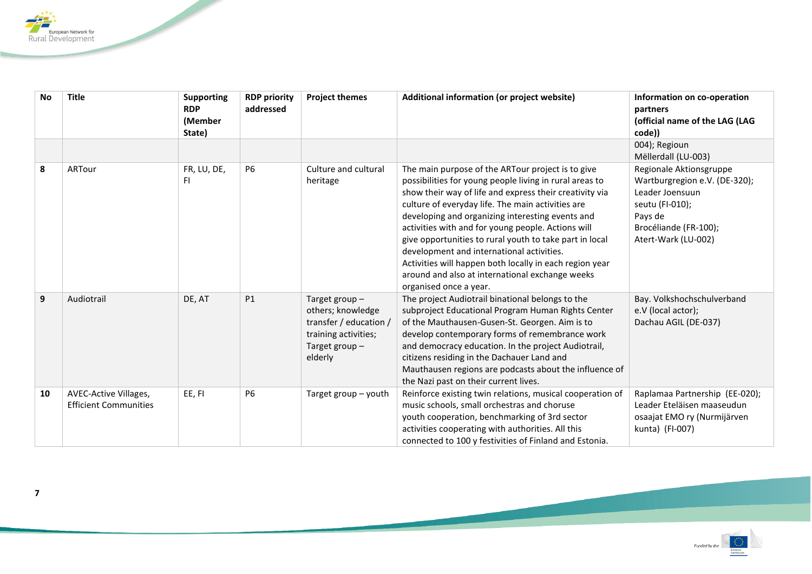

| <b>No</b> | <b>Title</b>                                          | <b>Supporting</b><br><b>RDP</b><br>(Member<br>State) | <b>RDP priority</b><br>addressed | <b>Project themes</b>                                                                                               | Additional information (or project website)                                                                                                                                                                                                                                                                                                                                                                                                                                                                                                                                            | Information on co-operation<br>partners<br>(official name of the LAG (LAG<br>code))                                                                       |
|-----------|-------------------------------------------------------|------------------------------------------------------|----------------------------------|---------------------------------------------------------------------------------------------------------------------|----------------------------------------------------------------------------------------------------------------------------------------------------------------------------------------------------------------------------------------------------------------------------------------------------------------------------------------------------------------------------------------------------------------------------------------------------------------------------------------------------------------------------------------------------------------------------------------|-----------------------------------------------------------------------------------------------------------------------------------------------------------|
|           |                                                       |                                                      |                                  |                                                                                                                     |                                                                                                                                                                                                                                                                                                                                                                                                                                                                                                                                                                                        | 004); Regioun<br>Mëllerdall (LU-003)                                                                                                                      |
| 8         | ARTour                                                | FR, LU, DE,<br><b>FI</b>                             | <b>P6</b>                        | Culture and cultural<br>heritage                                                                                    | The main purpose of the ARTour project is to give<br>possibilities for young people living in rural areas to<br>show their way of life and express their creativity via<br>culture of everyday life. The main activities are<br>developing and organizing interesting events and<br>activities with and for young people. Actions will<br>give opportunities to rural youth to take part in local<br>development and international activities.<br>Activities will happen both locally in each region year<br>around and also at international exchange weeks<br>organised once a year. | Regionale Aktionsgruppe<br>Wartburgregion e.V. (DE-320);<br>Leader Joensuun<br>seutu (FI-010);<br>Pays de<br>Brocéliande (FR-100);<br>Atert-Wark (LU-002) |
| 9         | Audiotrail                                            | DE, AT                                               | P1                               | Target group-<br>others; knowledge<br>transfer / education /<br>training activities;<br>Target group $-$<br>elderly | The project Audiotrail binational belongs to the<br>subproject Educational Program Human Rights Center<br>of the Mauthausen-Gusen-St. Georgen. Aim is to<br>develop contemporary forms of remembrance work<br>and democracy education. In the project Audiotrail,<br>citizens residing in the Dachauer Land and<br>Mauthausen regions are podcasts about the influence of<br>the Nazi past on their current lives.                                                                                                                                                                     | Bay. Volkshochschulverband<br>e.V (local actor);<br>Dachau AGIL (DE-037)                                                                                  |
| 10        | AVEC-Active Villages,<br><b>Efficient Communities</b> | EE, FI                                               | P <sub>6</sub>                   | Target group - youth                                                                                                | Reinforce existing twin relations, musical cooperation of<br>music schools, small orchestras and choruse<br>youth cooperation, benchmarking of 3rd sector<br>activities cooperating with authorities. All this<br>connected to 100 y festivities of Finland and Estonia.                                                                                                                                                                                                                                                                                                               | Raplamaa Partnership (EE-020);<br>Leader Eteläisen maaseudun<br>osaajat EMO ry (Nurmijärven<br>kunta) (FI-007)                                            |

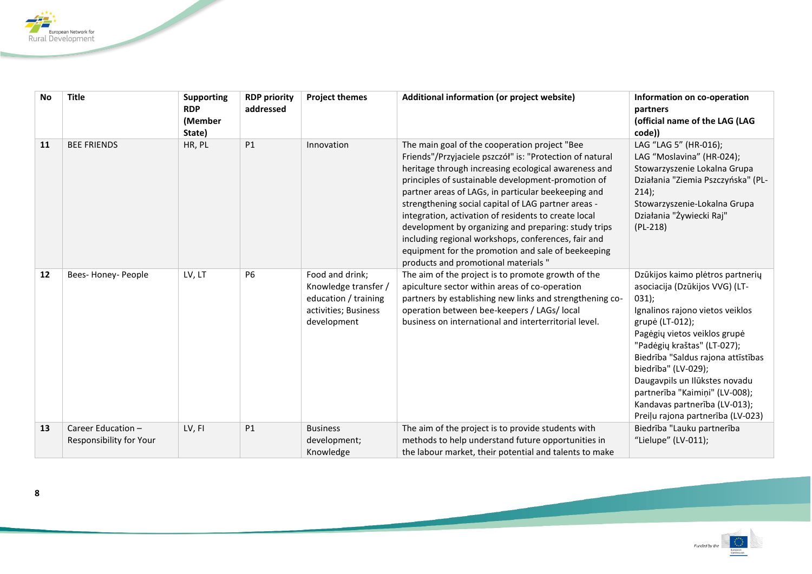

| <b>No</b> | <b>Title</b>                                  | <b>Supporting</b><br><b>RDP</b><br>(Member<br>State) | <b>RDP priority</b><br>addressed | <b>Project themes</b>                                                                                  | Additional information (or project website)                                                                                                                                                                                                                                                                                                                                                                                                                                                                                                                                                                | Information on co-operation<br>partners<br>(official name of the LAG (LAG<br>code))                                                                                                                                                                                                                                                                                                                    |
|-----------|-----------------------------------------------|------------------------------------------------------|----------------------------------|--------------------------------------------------------------------------------------------------------|------------------------------------------------------------------------------------------------------------------------------------------------------------------------------------------------------------------------------------------------------------------------------------------------------------------------------------------------------------------------------------------------------------------------------------------------------------------------------------------------------------------------------------------------------------------------------------------------------------|--------------------------------------------------------------------------------------------------------------------------------------------------------------------------------------------------------------------------------------------------------------------------------------------------------------------------------------------------------------------------------------------------------|
| 11        | <b>BEE FRIENDS</b>                            | HR, PL                                               | P1                               | Innovation                                                                                             | The main goal of the cooperation project "Bee<br>Friends"/Przyjaciele pszczół" is: "Protection of natural<br>heritage through increasing ecological awareness and<br>principles of sustainable development-promotion of<br>partner areas of LAGs, in particular beekeeping and<br>strengthening social capital of LAG partner areas -<br>integration, activation of residents to create local<br>development by organizing and preparing: study trips<br>including regional workshops, conferences, fair and<br>equipment for the promotion and sale of beekeeping<br>products and promotional materials " | LAG "LAG 5" (HR-016);<br>LAG "Moslavina" (HR-024);<br>Stowarzyszenie Lokalna Grupa<br>Działania "Ziemia Pszczyńska" (PL-<br>214);<br>Stowarzyszenie-Lokalna Grupa<br>Działania "Żywiecki Raj"<br>$(PL-218)$                                                                                                                                                                                            |
| 12        | Bees-Honey-People                             | LV, LT                                               | <b>P6</b>                        | Food and drink;<br>Knowledge transfer /<br>education / training<br>activities; Business<br>development | The aim of the project is to promote growth of the<br>apiculture sector within areas of co-operation<br>partners by establishing new links and strengthening co-<br>operation between bee-keepers / LAGs/ local<br>business on international and interterritorial level.                                                                                                                                                                                                                                                                                                                                   | Dzūkijos kaimo plėtros partnerių<br>asociacija (Dzūkijos VVG) (LT-<br>031);<br>Ignalinos rajono vietos veiklos<br>grupė (LT-012);<br>Pagėgių vietos veiklos grupė<br>"Padėgių kraštas" (LT-027);<br>Biedrība "Saldus rajona attīstības<br>biedrība" (LV-029);<br>Daugavpils un Ilūkstes novadu<br>partnerība "Kaimiņi" (LV-008);<br>Kandavas partnerība (LV-013);<br>Preiļu rajona partnerība (LV-023) |
| 13        | Career Education -<br>Responsibility for Your | LV, FI                                               | P1                               | <b>Business</b><br>development;<br>Knowledge                                                           | The aim of the project is to provide students with<br>methods to help understand future opportunities in<br>the labour market, their potential and talents to make                                                                                                                                                                                                                                                                                                                                                                                                                                         | Biedrība "Lauku partnerība<br>"Lielupe" (LV-011);                                                                                                                                                                                                                                                                                                                                                      |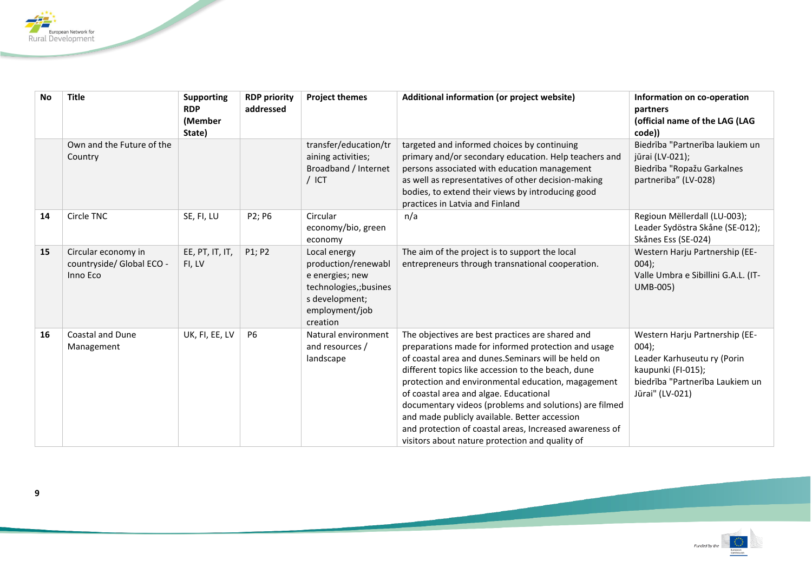

| <b>No</b> | <b>Title</b>                                                 | <b>Supporting</b><br><b>RDP</b><br>(Member<br>State) | <b>RDP priority</b><br>addressed | <b>Project themes</b>                                                                                                           | Additional information (or project website)                                                                                                                                                                                                                                                                                                                                                                                                                                                                                                   | Information on co-operation<br>partners<br>(official name of the LAG (LAG<br>code))                                                                  |
|-----------|--------------------------------------------------------------|------------------------------------------------------|----------------------------------|---------------------------------------------------------------------------------------------------------------------------------|-----------------------------------------------------------------------------------------------------------------------------------------------------------------------------------------------------------------------------------------------------------------------------------------------------------------------------------------------------------------------------------------------------------------------------------------------------------------------------------------------------------------------------------------------|------------------------------------------------------------------------------------------------------------------------------------------------------|
|           | Own and the Future of the<br>Country                         |                                                      |                                  | transfer/education/tr<br>aining activities;<br>Broadband / Internet<br>$/$ ICT                                                  | targeted and informed choices by continuing<br>primary and/or secondary education. Help teachers and<br>persons associated with education management<br>as well as representatives of other decision-making<br>bodies, to extend their views by introducing good<br>practices in Latvia and Finland                                                                                                                                                                                                                                           | Biedrība "Partnerība laukiem un<br>jūrai (LV-021);<br>Biedrība "Ropažu Garkalnes<br>partneriba" (LV-028)                                             |
| 14        | Circle TNC                                                   | SE, FI, LU                                           | P2; P6                           | Circular<br>economy/bio, green<br>economy                                                                                       | n/a                                                                                                                                                                                                                                                                                                                                                                                                                                                                                                                                           | Regioun Mëllerdall (LU-003);<br>Leader Sydöstra Skåne (SE-012);<br>Skånes Ess (SE-024)                                                               |
| 15        | Circular economy in<br>countryside/ Global ECO -<br>Inno Eco | EE, PT, IT, IT,<br>FI, LV                            | P1; P2                           | Local energy<br>production/renewabl<br>e energies; new<br>technologies,;busines<br>s development;<br>employment/job<br>creation | The aim of the project is to support the local<br>entrepreneurs through transnational cooperation.                                                                                                                                                                                                                                                                                                                                                                                                                                            | Western Harju Partnership (EE-<br>$004$ ;<br>Valle Umbra e Sibillini G.A.L. (IT-<br><b>UMB-005)</b>                                                  |
| 16        | <b>Coastal and Dune</b><br>Management                        | UK, FI, EE, LV                                       | <b>P6</b>                        | Natural environment<br>and resources /<br>landscape                                                                             | The objectives are best practices are shared and<br>preparations made for informed protection and usage<br>of coastal area and dunes. Seminars will be held on<br>different topics like accession to the beach, dune<br>protection and environmental education, magagement<br>of coastal area and algae. Educational<br>documentary videos (problems and solutions) are filmed<br>and made publicly available. Better accession<br>and protection of coastal areas, Increased awareness of<br>visitors about nature protection and quality of | Western Harju Partnership (EE-<br>$004$ ;<br>Leader Karhuseutu ry (Porin<br>kaupunki (FI-015);<br>biedrība "Partnerība Laukiem un<br>Jūrai" (LV-021) |

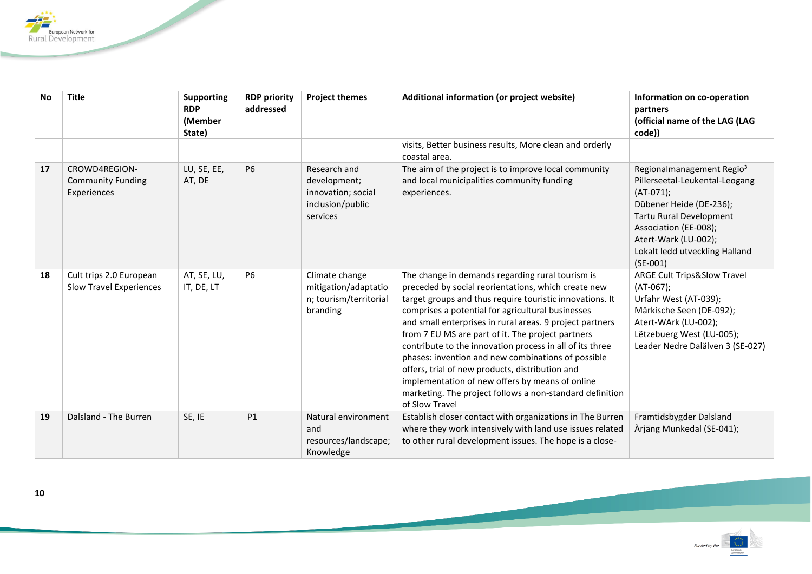

| <b>No</b> | <b>Title</b>                                              | <b>Supporting</b><br><b>RDP</b><br>(Member<br>State) | <b>RDP priority</b><br>addressed | <b>Project themes</b>                                                              | Additional information (or project website)                                                                                                                                                                                                                                                                                                                                                                                                                                                                                                                                                                                                     | Information on co-operation<br>partners<br>(official name of the LAG (LAG<br>code))                                                                                                                                                           |
|-----------|-----------------------------------------------------------|------------------------------------------------------|----------------------------------|------------------------------------------------------------------------------------|-------------------------------------------------------------------------------------------------------------------------------------------------------------------------------------------------------------------------------------------------------------------------------------------------------------------------------------------------------------------------------------------------------------------------------------------------------------------------------------------------------------------------------------------------------------------------------------------------------------------------------------------------|-----------------------------------------------------------------------------------------------------------------------------------------------------------------------------------------------------------------------------------------------|
|           |                                                           |                                                      |                                  |                                                                                    | visits, Better business results, More clean and orderly<br>coastal area.                                                                                                                                                                                                                                                                                                                                                                                                                                                                                                                                                                        |                                                                                                                                                                                                                                               |
| 17        | CROWD4REGION-<br><b>Community Funding</b><br>Experiences  | LU, SE, EE,<br>AT, DE                                | <b>P6</b>                        | Research and<br>development;<br>innovation; social<br>inclusion/public<br>services | The aim of the project is to improve local community<br>and local municipalities community funding<br>experiences.                                                                                                                                                                                                                                                                                                                                                                                                                                                                                                                              | Regionalmanagement Regio <sup>3</sup><br>Pillerseetal-Leukental-Leogang<br>$(AT-071);$<br>Dübener Heide (DE-236);<br>Tartu Rural Development<br>Association (EE-008);<br>Atert-Wark (LU-002);<br>Lokalt ledd utveckling Halland<br>$(SE-001)$ |
| 18        | Cult trips 2.0 European<br><b>Slow Travel Experiences</b> | AT, SE, LU,<br>IT, DE, LT                            | <b>P6</b>                        | Climate change<br>mitigation/adaptatio<br>n; tourism/territorial<br>branding       | The change in demands regarding rural tourism is<br>preceded by social reorientations, which create new<br>target groups and thus require touristic innovations. It<br>comprises a potential for agricultural businesses<br>and small enterprises in rural areas. 9 project partners<br>from 7 EU MS are part of it. The project partners<br>contribute to the innovation process in all of its three<br>phases: invention and new combinations of possible<br>offers, trial of new products, distribution and<br>implementation of new offers by means of online<br>marketing. The project follows a non-standard definition<br>of Slow Travel | <b>ARGE Cult Trips&amp;Slow Travel</b><br>$(AT-067)$ ;<br>Urfahr West (AT-039);<br>Märkische Seen (DE-092);<br>Atert-WArk (LU-002);<br>Lëtzebuerg West (LU-005);<br>Leader Nedre Dalälven 3 (SE-027)                                          |
| 19        | Dalsland - The Burren                                     | SE, IE                                               | P1                               | Natural environment<br>and<br>resources/landscape;<br>Knowledge                    | Establish closer contact with organizations in The Burren<br>where they work intensively with land use issues related<br>to other rural development issues. The hope is a close-                                                                                                                                                                                                                                                                                                                                                                                                                                                                | Framtidsbygder Dalsland<br>Årjäng Munkedal (SE-041);                                                                                                                                                                                          |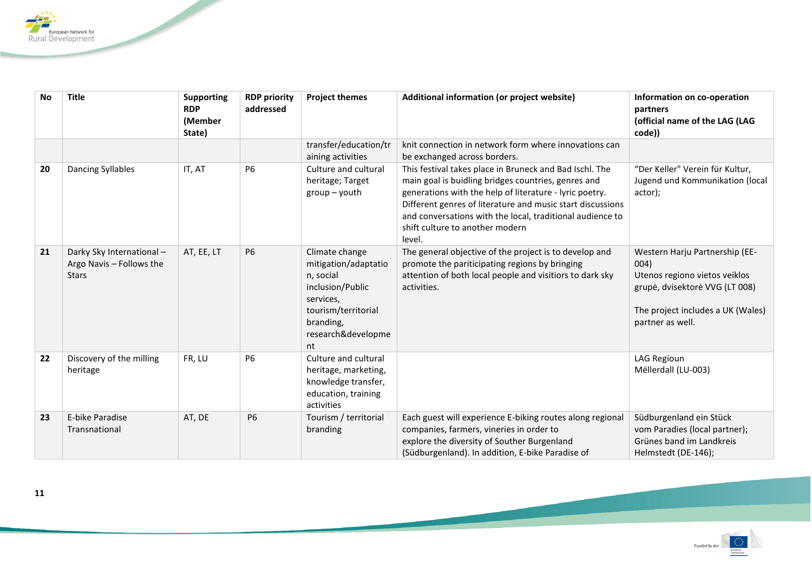

| <b>No</b> | <b>Title</b>                                                         | <b>Supporting</b><br><b>RDP</b><br>(Member<br>State) | <b>RDP priority</b><br>addressed | <b>Project themes</b>                                                                                                                                | Additional information (or project website)                                                                                                                                                                                                                                                                                                       | Information on co-operation<br>partners<br>(official name of the LAG (LAG<br>code))                                                                                |
|-----------|----------------------------------------------------------------------|------------------------------------------------------|----------------------------------|------------------------------------------------------------------------------------------------------------------------------------------------------|---------------------------------------------------------------------------------------------------------------------------------------------------------------------------------------------------------------------------------------------------------------------------------------------------------------------------------------------------|--------------------------------------------------------------------------------------------------------------------------------------------------------------------|
|           |                                                                      |                                                      |                                  | transfer/education/tr<br>aining activities                                                                                                           | knit connection in network form where innovations can<br>be exchanged across borders.                                                                                                                                                                                                                                                             |                                                                                                                                                                    |
| 20        | <b>Dancing Syllables</b>                                             | IT, AT                                               | <b>P6</b>                        | Culture and cultural<br>heritage; Target<br>$group - youth$                                                                                          | This festival takes place in Bruneck and Bad Ischl. The<br>main goal is buidling bridges countries, genres and<br>generations with the help of literature - lyric poetry.<br>Different genres of literature and music start discussions<br>and conversations with the local, traditional audience to<br>shift culture to another modern<br>level. | "Der Keller" Verein für Kultur,<br>Jugend und Kommunikation (local<br>actor);                                                                                      |
| 21        | Darky Sky International-<br>Argo Navis - Follows the<br><b>Stars</b> | AT, EE, LT                                           | <b>P6</b>                        | Climate change<br>mitigation/adaptatio<br>n, social<br>inclusion/Public<br>services,<br>tourism/territorial<br>branding,<br>research&developme<br>nt | The general objective of the project is to develop and<br>promote the pariticipating regions by bringing<br>attention of both local people and visitiors to dark sky<br>activities.                                                                                                                                                               | Western Harju Partnership (EE-<br>004)<br>Utenos regiono vietos veiklos<br>grupė, dvisektorė VVG (LT 008)<br>The project includes a UK (Wales)<br>partner as well. |
| 22        | Discovery of the milling<br>heritage                                 | FR, LU                                               | <b>P6</b>                        | Culture and cultural<br>heritage, marketing,<br>knowledge transfer,<br>education, training<br>activities                                             |                                                                                                                                                                                                                                                                                                                                                   | LAG Regioun<br>Mëllerdall (LU-003)                                                                                                                                 |
| 23        | E-bike Paradise<br>Transnational                                     | AT, DE                                               | P <sub>6</sub>                   | Tourism / territorial<br>branding                                                                                                                    | Each guest will experience E-biking routes along regional<br>companies, farmers, vineries in order to<br>explore the diversity of Souther Burgenland<br>(Südburgenland). In addition, E-bike Paradise of                                                                                                                                          | Südburgenland ein Stück<br>vom Paradies (local partner);<br>Grünes band im Landkreis<br>Helmstedt (DE-146);                                                        |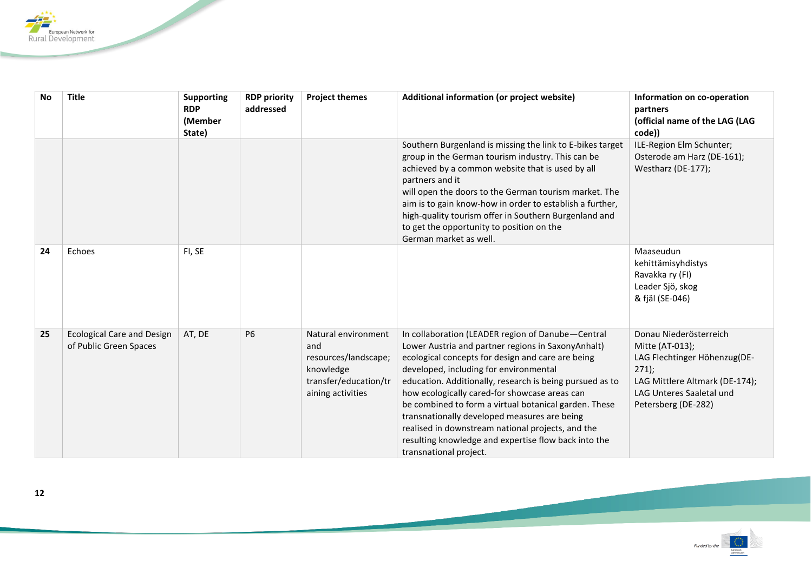

| <b>No</b> | <b>Title</b>                                                | <b>Supporting</b><br><b>RDP</b><br>(Member<br>State) | <b>RDP priority</b><br>addressed | <b>Project themes</b>                                                                                         | Additional information (or project website)                                                                                                                                                                                                                                                                                                                                                                                                                                                                                                                         | Information on co-operation<br>partners<br>(official name of the LAG (LAG<br>code))                                                                                   |
|-----------|-------------------------------------------------------------|------------------------------------------------------|----------------------------------|---------------------------------------------------------------------------------------------------------------|---------------------------------------------------------------------------------------------------------------------------------------------------------------------------------------------------------------------------------------------------------------------------------------------------------------------------------------------------------------------------------------------------------------------------------------------------------------------------------------------------------------------------------------------------------------------|-----------------------------------------------------------------------------------------------------------------------------------------------------------------------|
|           |                                                             |                                                      |                                  |                                                                                                               | Southern Burgenland is missing the link to E-bikes target<br>group in the German tourism industry. This can be<br>achieved by a common website that is used by all<br>partners and it<br>will open the doors to the German tourism market. The<br>aim is to gain know-how in order to establish a further,<br>high-quality tourism offer in Southern Burgenland and<br>to get the opportunity to position on the<br>German market as well.                                                                                                                          | ILE-Region Elm Schunter;<br>Osterode am Harz (DE-161);<br>Westharz (DE-177);                                                                                          |
| 24        | Echoes                                                      | FI, SE                                               |                                  |                                                                                                               |                                                                                                                                                                                                                                                                                                                                                                                                                                                                                                                                                                     | Maaseudun<br>kehittämisyhdistys<br>Ravakka ry (FI)<br>Leader Sjö, skog<br>& fjäl (SE-046)                                                                             |
| 25        | <b>Ecological Care and Design</b><br>of Public Green Spaces | AT, DE                                               | <b>P6</b>                        | Natural environment<br>and<br>resources/landscape;<br>knowledge<br>transfer/education/tr<br>aining activities | In collaboration (LEADER region of Danube-Central<br>Lower Austria and partner regions in SaxonyAnhalt)<br>ecological concepts for design and care are being<br>developed, including for environmental<br>education. Additionally, research is being pursued as to<br>how ecologically cared-for showcase areas can<br>be combined to form a virtual botanical garden. These<br>transnationally developed measures are being<br>realised in downstream national projects, and the<br>resulting knowledge and expertise flow back into the<br>transnational project. | Donau Niederösterreich<br>Mitte (AT-013);<br>LAG Flechtinger Höhenzug(DE-<br>271<br>LAG Mittlere Altmark (DE-174);<br>LAG Unteres Saaletal und<br>Petersberg (DE-282) |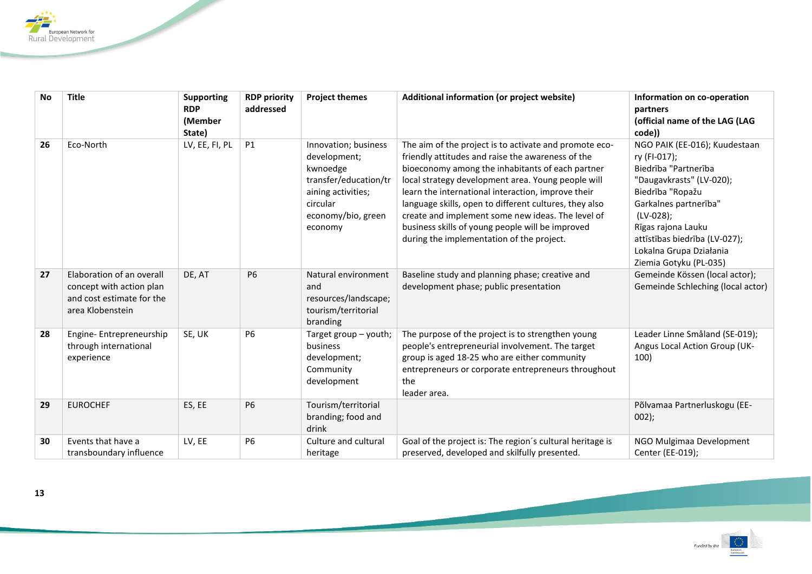

| <b>No</b> | <b>Title</b>                                                                                           | <b>Supporting</b> | <b>RDP priority</b> | <b>Project themes</b>                                                                                                                        | Additional information (or project website)                                                                                                                                                                                                                                                                                                                                                                                                                                                 | Information on co-operation                                                                                                                                                                                                                                             |
|-----------|--------------------------------------------------------------------------------------------------------|-------------------|---------------------|----------------------------------------------------------------------------------------------------------------------------------------------|---------------------------------------------------------------------------------------------------------------------------------------------------------------------------------------------------------------------------------------------------------------------------------------------------------------------------------------------------------------------------------------------------------------------------------------------------------------------------------------------|-------------------------------------------------------------------------------------------------------------------------------------------------------------------------------------------------------------------------------------------------------------------------|
|           |                                                                                                        | <b>RDP</b>        | addressed           |                                                                                                                                              |                                                                                                                                                                                                                                                                                                                                                                                                                                                                                             | partners                                                                                                                                                                                                                                                                |
|           |                                                                                                        | (Member           |                     |                                                                                                                                              |                                                                                                                                                                                                                                                                                                                                                                                                                                                                                             | (official name of the LAG (LAG                                                                                                                                                                                                                                          |
|           |                                                                                                        | State)            |                     |                                                                                                                                              |                                                                                                                                                                                                                                                                                                                                                                                                                                                                                             | code))                                                                                                                                                                                                                                                                  |
| 26        | Eco-North                                                                                              | LV, EE, FI, PL    | P1                  | Innovation; business<br>development;<br>kwnoedge<br>transfer/education/tr<br>aining activities;<br>circular<br>economy/bio, green<br>economy | The aim of the project is to activate and promote eco-<br>friendly attitudes and raise the awareness of the<br>bioeconomy among the inhabitants of each partner<br>local strategy development area. Young people will<br>learn the international interaction, improve their<br>language skills, open to different cultures, they also<br>create and implement some new ideas. The level of<br>business skills of young people will be improved<br>during the implementation of the project. | NGO PAIK (EE-016); Kuudestaan<br>ry (FI-017);<br>Biedrība "Partnerība<br>"Daugavkrasts" (LV-020);<br>Biedrība "Ropažu<br>Garkalnes partnerība"<br>(LV-028);<br>Rīgas rajona Lauku<br>attīstības biedrība (LV-027);<br>Lokalna Grupa Działania<br>Ziemia Gotyku (PL-035) |
| 27        | Elaboration of an overall<br>concept with action plan<br>and cost estimate for the<br>area Klobenstein | DE, AT            | <b>P6</b>           | Natural environment<br>and<br>resources/landscape;<br>tourism/territorial<br>branding                                                        | Baseline study and planning phase; creative and<br>development phase; public presentation                                                                                                                                                                                                                                                                                                                                                                                                   | Gemeinde Kössen (local actor);<br>Gemeinde Schleching (local actor)                                                                                                                                                                                                     |
| 28        | Engine-Entrepreneurship<br>through international<br>experience                                         | SE, UK            | <b>P6</b>           | Target group - youth;<br>business<br>development;<br>Community<br>development                                                                | The purpose of the project is to strengthen young<br>people's entrepreneurial involvement. The target<br>group is aged 18-25 who are either community<br>entrepreneurs or corporate entrepreneurs throughout<br>the<br>leader area.                                                                                                                                                                                                                                                         | Leader Linne Småland (SE-019);<br>Angus Local Action Group (UK-<br>100)                                                                                                                                                                                                 |
| 29        | <b>EUROCHEF</b>                                                                                        | ES, EE            | <b>P6</b>           | Tourism/territorial<br>branding; food and<br>drink                                                                                           |                                                                                                                                                                                                                                                                                                                                                                                                                                                                                             | Põlvamaa Partnerluskogu (EE-<br>$002$ );                                                                                                                                                                                                                                |
| 30        | Events that have a<br>transboundary influence                                                          | LV, EE            | <b>P6</b>           | Culture and cultural<br>heritage                                                                                                             | Goal of the project is: The region's cultural heritage is<br>preserved, developed and skilfully presented.                                                                                                                                                                                                                                                                                                                                                                                  | NGO Mulgimaa Development<br>Center (EE-019);                                                                                                                                                                                                                            |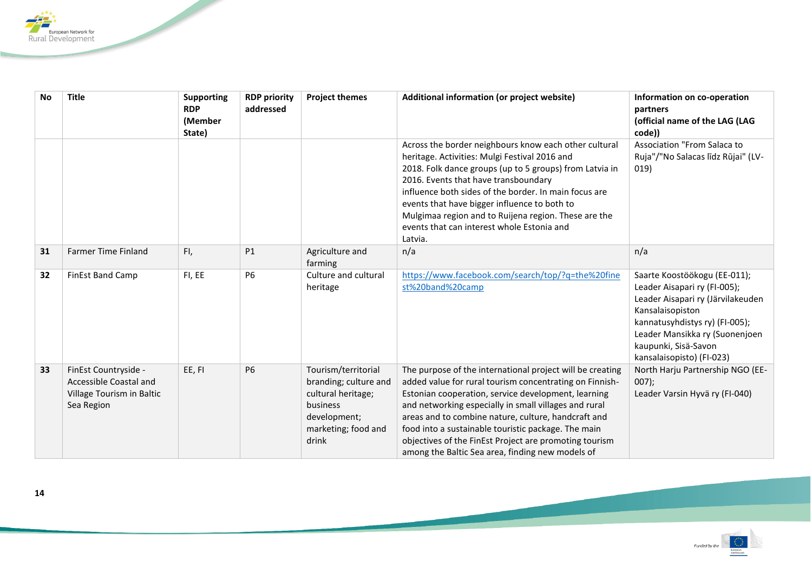

| <b>No</b> | <b>Title</b>                                                                              | <b>Supporting</b><br><b>RDP</b><br>(Member<br>State) | <b>RDP priority</b><br>addressed | <b>Project themes</b>                                                                                                          | Additional information (or project website)                                                                                                                                                                                                                                                                                                                                                                                                                      | Information on co-operation<br>partners<br>(official name of the LAG (LAG<br>code))                                                                                                                                                            |
|-----------|-------------------------------------------------------------------------------------------|------------------------------------------------------|----------------------------------|--------------------------------------------------------------------------------------------------------------------------------|------------------------------------------------------------------------------------------------------------------------------------------------------------------------------------------------------------------------------------------------------------------------------------------------------------------------------------------------------------------------------------------------------------------------------------------------------------------|------------------------------------------------------------------------------------------------------------------------------------------------------------------------------------------------------------------------------------------------|
|           |                                                                                           |                                                      |                                  |                                                                                                                                | Across the border neighbours know each other cultural<br>heritage. Activities: Mulgi Festival 2016 and<br>2018. Folk dance groups (up to 5 groups) from Latvia in<br>2016. Events that have transboundary<br>influence both sides of the border. In main focus are<br>events that have bigger influence to both to<br>Mulgimaa region and to Ruijena region. These are the<br>events that can interest whole Estonia and<br>Latvia.                              | Association "From Salaca to<br>Ruja"/"No Salacas līdz Rūjai" (LV-<br>019)                                                                                                                                                                      |
| 31        | <b>Farmer Time Finland</b>                                                                | FI,                                                  | P1                               | Agriculture and<br>farming                                                                                                     | n/a                                                                                                                                                                                                                                                                                                                                                                                                                                                              | n/a                                                                                                                                                                                                                                            |
| 32        | <b>FinEst Band Camp</b>                                                                   | FI, EE                                               | <b>P6</b>                        | Culture and cultural<br>heritage                                                                                               | https://www.facebook.com/search/top/?q=the%20fine<br>st%20band%20camp                                                                                                                                                                                                                                                                                                                                                                                            | Saarte Koostöökogu (EE-011);<br>Leader Aisapari ry (FI-005);<br>Leader Aisapari ry (Järvilakeuden<br>Kansalaisopiston<br>kannatusyhdistys ry) (FI-005);<br>Leader Mansikka ry (Suonenjoen<br>kaupunki, Sisä-Savon<br>kansalaisopisto) (FI-023) |
| 33        | FinEst Countryside -<br>Accessible Coastal and<br>Village Tourism in Baltic<br>Sea Region | EE, FI                                               | <b>P6</b>                        | Tourism/territorial<br>branding; culture and<br>cultural heritage;<br>business<br>development;<br>marketing; food and<br>drink | The purpose of the international project will be creating<br>added value for rural tourism concentrating on Finnish-<br>Estonian cooperation, service development, learning<br>and networking especially in small villages and rural<br>areas and to combine nature, culture, handcraft and<br>food into a sustainable touristic package. The main<br>objectives of the FinEst Project are promoting tourism<br>among the Baltic Sea area, finding new models of | North Harju Partnership NGO (EE-<br>$007$ );<br>Leader Varsin Hyvä ry (FI-040)                                                                                                                                                                 |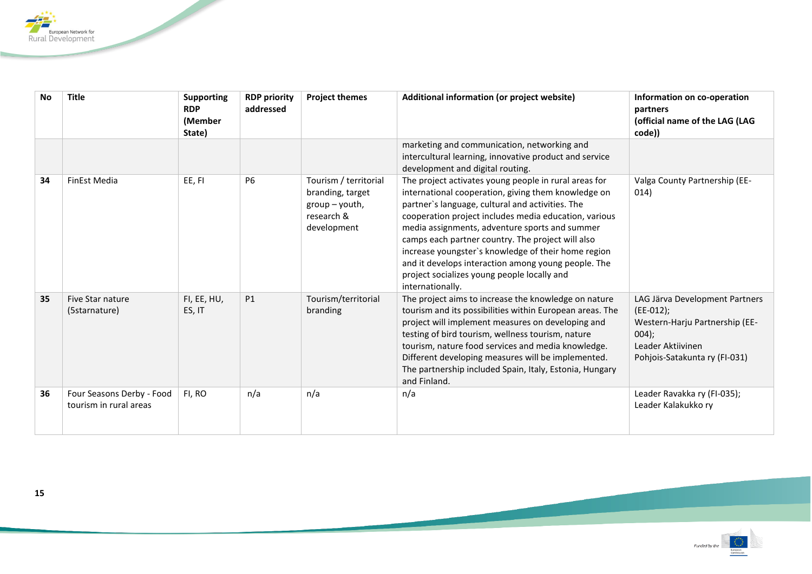

| No | <b>Title</b>                                        | <b>Supporting</b><br><b>RDP</b><br>(Member<br>State) | <b>RDP priority</b><br>addressed | <b>Project themes</b>                                                                      | Additional information (or project website)                                                                                                                                                                                                                                                                                                                                                                                                                                                                       | Information on co-operation<br>partners<br>(official name of the LAG (LAG<br>code))                                                            |
|----|-----------------------------------------------------|------------------------------------------------------|----------------------------------|--------------------------------------------------------------------------------------------|-------------------------------------------------------------------------------------------------------------------------------------------------------------------------------------------------------------------------------------------------------------------------------------------------------------------------------------------------------------------------------------------------------------------------------------------------------------------------------------------------------------------|------------------------------------------------------------------------------------------------------------------------------------------------|
|    |                                                     |                                                      |                                  |                                                                                            | marketing and communication, networking and<br>intercultural learning, innovative product and service<br>development and digital routing.                                                                                                                                                                                                                                                                                                                                                                         |                                                                                                                                                |
| 34 | FinEst Media                                        | EE, FI                                               | <b>P6</b>                        | Tourism / territorial<br>branding, target<br>$group - youth,$<br>research &<br>development | The project activates young people in rural areas for<br>international cooperation, giving them knowledge on<br>partner's language, cultural and activities. The<br>cooperation project includes media education, various<br>media assignments, adventure sports and summer<br>camps each partner country. The project will also<br>increase youngster's knowledge of their home region<br>and it develops interaction among young people. The<br>project socializes young people locally and<br>internationally. | Valga County Partnership (EE-<br>014)                                                                                                          |
| 35 | Five Star nature<br>(5starnature)                   | FI, EE, HU,<br>ES, IT                                | <b>P1</b>                        | Tourism/territorial<br>branding                                                            | The project aims to increase the knowledge on nature<br>tourism and its possibilities within European areas. The<br>project will implement measures on developing and<br>testing of bird tourism, wellness tourism, nature<br>tourism, nature food services and media knowledge.<br>Different developing measures will be implemented.<br>The partnership included Spain, Italy, Estonia, Hungary<br>and Finland.                                                                                                 | LAG Järva Development Partners<br>$(EE-012);$<br>Western-Harju Partnership (EE-<br>004);<br>Leader Aktiivinen<br>Pohjois-Satakunta ry (FI-031) |
| 36 | Four Seasons Derby - Food<br>tourism in rural areas | FI, RO                                               | n/a                              | n/a                                                                                        | n/a                                                                                                                                                                                                                                                                                                                                                                                                                                                                                                               | Leader Ravakka ry (FI-035);<br>Leader Kalakukko ry                                                                                             |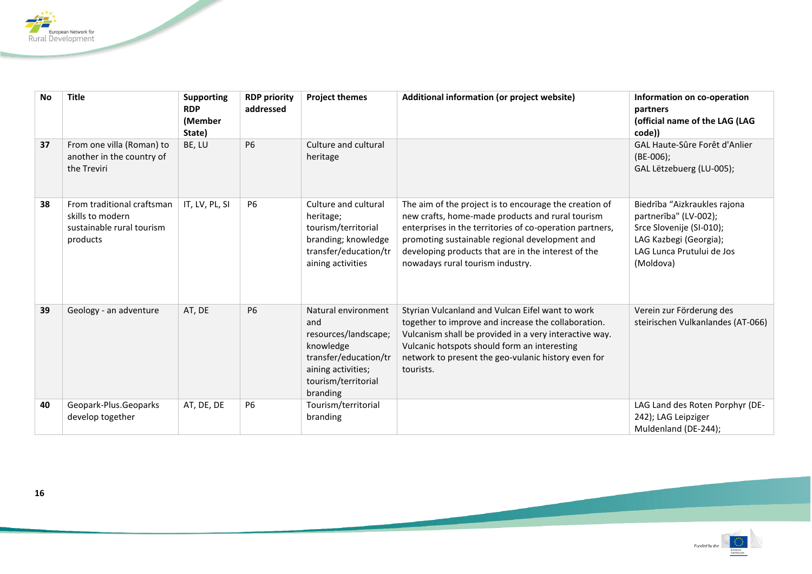

| No | <b>Title</b>                                                                            | <b>Supporting</b><br><b>RDP</b><br>(Member<br>State) | <b>RDP priority</b><br>addressed | <b>Project themes</b>                                                                                                                             | Additional information (or project website)                                                                                                                                                                                                                                                                         | Information on co-operation<br>partners<br>(official name of the LAG (LAG<br>code))                                                                   |
|----|-----------------------------------------------------------------------------------------|------------------------------------------------------|----------------------------------|---------------------------------------------------------------------------------------------------------------------------------------------------|---------------------------------------------------------------------------------------------------------------------------------------------------------------------------------------------------------------------------------------------------------------------------------------------------------------------|-------------------------------------------------------------------------------------------------------------------------------------------------------|
| 37 | From one villa (Roman) to<br>another in the country of<br>the Treviri                   | BE, LU                                               | <b>P6</b>                        | Culture and cultural<br>heritage                                                                                                                  |                                                                                                                                                                                                                                                                                                                     | GAL Haute-Sûre Forêt d'Anlier<br>$(BE-006);$<br>GAL Lëtzebuerg (LU-005);                                                                              |
| 38 | From traditional craftsman<br>skills to modern<br>sustainable rural tourism<br>products | IT, LV, PL, SI                                       | <b>P6</b>                        | Culture and cultural<br>heritage;<br>tourism/territorial<br>branding; knowledge<br>transfer/education/tr<br>aining activities                     | The aim of the project is to encourage the creation of<br>new crafts, home-made products and rural tourism<br>enterprises in the territories of co-operation partners,<br>promoting sustainable regional development and<br>developing products that are in the interest of the<br>nowadays rural tourism industry. | Biedrība "Aizkraukles rajona<br>partnerība" (LV-002);<br>Srce Slovenije (SI-010);<br>LAG Kazbegi (Georgia);<br>LAG Lunca Prutului de Jos<br>(Moldova) |
| 39 | Geology - an adventure                                                                  | AT, DE                                               | <b>P6</b>                        | Natural environment<br>and<br>resources/landscape;<br>knowledge<br>transfer/education/tr<br>aining activities;<br>tourism/territorial<br>branding | Styrian Vulcanland and Vulcan Eifel want to work<br>together to improve and increase the collaboration.<br>Vulcanism shall be provided in a very interactive way.<br>Vulcanic hotspots should form an interesting<br>network to present the geo-vulanic history even for<br>tourists.                               | Verein zur Förderung des<br>steirischen Vulkanlandes (AT-066)                                                                                         |
| 40 | Geopark-Plus.Geoparks<br>develop together                                               | AT, DE, DE                                           | <b>P6</b>                        | Tourism/territorial<br>branding                                                                                                                   |                                                                                                                                                                                                                                                                                                                     | LAG Land des Roten Porphyr (DE-<br>242); LAG Leipziger<br>Muldenland (DE-244);                                                                        |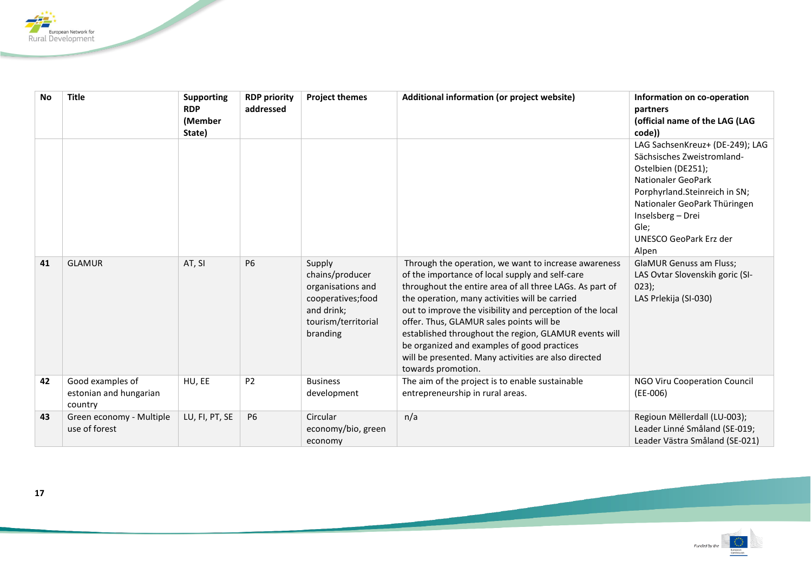

| <b>No</b> | <b>Title</b>                                          | <b>Supporting</b><br><b>RDP</b><br>(Member<br>State) | <b>RDP</b> priority<br>addressed | <b>Project themes</b>                                                                                                 | Additional information (or project website)                                                                                                                                                                                                                                                                                                                                                                                                                                                                          | Information on co-operation<br>partners<br>(official name of the LAG (LAG<br>code))                                                                                                                                                                                                                                                                             |
|-----------|-------------------------------------------------------|------------------------------------------------------|----------------------------------|-----------------------------------------------------------------------------------------------------------------------|----------------------------------------------------------------------------------------------------------------------------------------------------------------------------------------------------------------------------------------------------------------------------------------------------------------------------------------------------------------------------------------------------------------------------------------------------------------------------------------------------------------------|-----------------------------------------------------------------------------------------------------------------------------------------------------------------------------------------------------------------------------------------------------------------------------------------------------------------------------------------------------------------|
| 41        | <b>GLAMUR</b>                                         | AT, SI                                               | <b>P6</b>                        | Supply<br>chains/producer<br>organisations and<br>cooperatives; food<br>and drink;<br>tourism/territorial<br>branding | Through the operation, we want to increase awareness<br>of the importance of local supply and self-care<br>throughout the entire area of all three LAGs. As part of<br>the operation, many activities will be carried<br>out to improve the visibility and perception of the local<br>offer. Thus, GLAMUR sales points will be<br>established throughout the region, GLAMUR events will<br>be organized and examples of good practices<br>will be presented. Many activities are also directed<br>towards promotion. | LAG SachsenKreuz+ (DE-249); LAG<br>Sächsisches Zweistromland-<br>Ostelbien (DE251);<br><b>Nationaler GeoPark</b><br>Porphyrland.Steinreich in SN;<br>Nationaler GeoPark Thüringen<br>Inselsberg - Drei<br>Gle;<br><b>UNESCO GeoPark Erz der</b><br>Alpen<br><b>GlaMUR Genuss am Fluss;</b><br>LAS Ovtar Slovenskih goric (SI-<br>023);<br>LAS Prlekija (SI-030) |
| 42        | Good examples of<br>estonian and hungarian<br>country | HU, EE                                               | P <sub>2</sub>                   | <b>Business</b><br>development                                                                                        | The aim of the project is to enable sustainable<br>entrepreneurship in rural areas.                                                                                                                                                                                                                                                                                                                                                                                                                                  | NGO Viru Cooperation Council<br>$(EE-006)$                                                                                                                                                                                                                                                                                                                      |
| 43        | Green economy - Multiple<br>use of forest             | LU, FI, PT, SE                                       | <b>P6</b>                        | Circular<br>economy/bio, green<br>economy                                                                             | n/a                                                                                                                                                                                                                                                                                                                                                                                                                                                                                                                  | Regioun Mëllerdall (LU-003);<br>Leader Linné Småland (SE-019;<br>Leader Västra Småland (SE-021)                                                                                                                                                                                                                                                                 |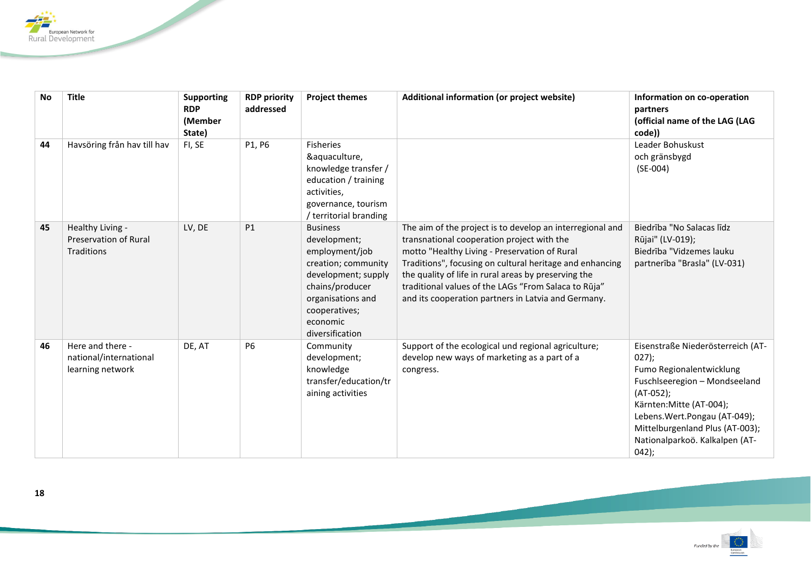

| <b>No</b> | <b>Title</b>                                                   | <b>Supporting</b> | <b>RDP priority</b> | <b>Project themes</b>                                                                                                                                                                   | Additional information (or project website)                                                                                                                                                                                                                                                                                                                                                 | Information on co-operation                                                                                                                                                                                                                                          |
|-----------|----------------------------------------------------------------|-------------------|---------------------|-----------------------------------------------------------------------------------------------------------------------------------------------------------------------------------------|---------------------------------------------------------------------------------------------------------------------------------------------------------------------------------------------------------------------------------------------------------------------------------------------------------------------------------------------------------------------------------------------|----------------------------------------------------------------------------------------------------------------------------------------------------------------------------------------------------------------------------------------------------------------------|
|           |                                                                | <b>RDP</b>        | addressed           |                                                                                                                                                                                         |                                                                                                                                                                                                                                                                                                                                                                                             | partners<br>(official name of the LAG (LAG                                                                                                                                                                                                                           |
|           |                                                                | (Member<br>State) |                     |                                                                                                                                                                                         |                                                                                                                                                                                                                                                                                                                                                                                             | code))                                                                                                                                                                                                                                                               |
| 44        | Havsöring från hav till hav                                    | FI, SE            | P1, P6              | <b>Fisheries</b><br>&aquaculture,<br>knowledge transfer /<br>education / training<br>activities,<br>governance, tourism<br>/ territorial branding                                       |                                                                                                                                                                                                                                                                                                                                                                                             | Leader Bohuskust<br>och gränsbygd<br>$(SE-004)$                                                                                                                                                                                                                      |
| 45        | Healthy Living -<br><b>Preservation of Rural</b><br>Traditions | LV, DE            | P1                  | <b>Business</b><br>development;<br>employment/job<br>creation; community<br>development; supply<br>chains/producer<br>organisations and<br>cooperatives;<br>economic<br>diversification | The aim of the project is to develop an interregional and<br>transnational cooperation project with the<br>motto "Healthy Living - Preservation of Rural<br>Traditions", focusing on cultural heritage and enhancing<br>the quality of life in rural areas by preserving the<br>traditional values of the LAGs "From Salaca to Rūja"<br>and its cooperation partners in Latvia and Germany. | Biedrība "No Salacas līdz<br>Rūjai" (LV-019);<br>Biedrība "Vidzemes lauku<br>partnerība "Brasla" (LV-031)                                                                                                                                                            |
| 46        | Here and there -<br>national/international<br>learning network | DE, AT            | <b>P6</b>           | Community<br>development;<br>knowledge<br>transfer/education/tr<br>aining activities                                                                                                    | Support of the ecological und regional agriculture;<br>develop new ways of marketing as a part of a<br>congress.                                                                                                                                                                                                                                                                            | Eisenstraße Niederösterreich (AT-<br>$027$ ;<br>Fumo Regionalentwicklung<br>Fuschlseeregion - Mondseeland<br>$(AT-052);$<br>Kärnten: Mitte (AT-004);<br>Lebens. Wert. Pongau (AT-049);<br>Mittelburgenland Plus (AT-003);<br>Nationalparkoö. Kalkalpen (AT-<br>042); |

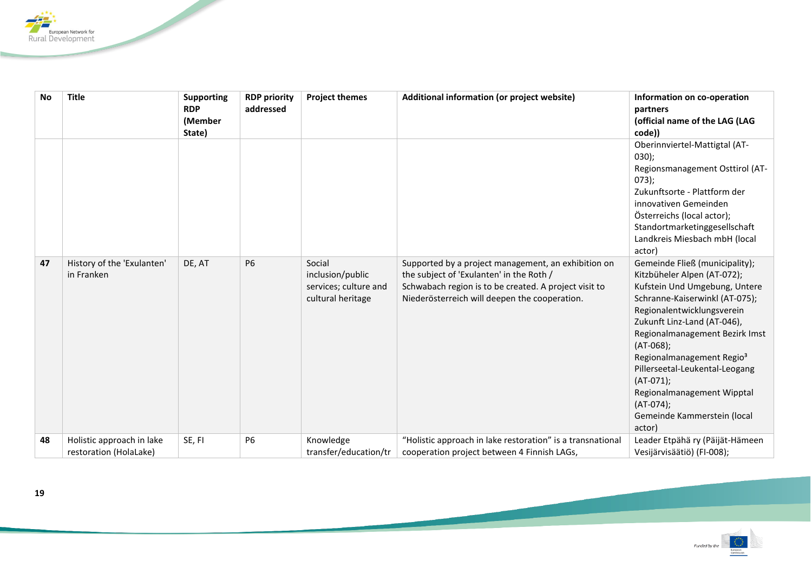

| <b>No</b> | <b>Title</b>               | <b>Supporting</b> | <b>RDP priority</b> | <b>Project themes</b> | Additional information (or project website)                | Information on co-operation           |
|-----------|----------------------------|-------------------|---------------------|-----------------------|------------------------------------------------------------|---------------------------------------|
|           |                            | <b>RDP</b>        | addressed           |                       |                                                            | partners                              |
|           |                            | (Member           |                     |                       |                                                            | (official name of the LAG (LAG        |
|           |                            | State)            |                     |                       |                                                            | code))                                |
|           |                            |                   |                     |                       |                                                            | Oberinnviertel-Mattigtal (AT-         |
|           |                            |                   |                     |                       |                                                            | 030);                                 |
|           |                            |                   |                     |                       |                                                            | Regionsmanagement Osttirol (AT-       |
|           |                            |                   |                     |                       |                                                            | 073);                                 |
|           |                            |                   |                     |                       |                                                            | Zukunftsorte - Plattform der          |
|           |                            |                   |                     |                       |                                                            | innovativen Gemeinden                 |
|           |                            |                   |                     |                       |                                                            | Österreichs (local actor);            |
|           |                            |                   |                     |                       |                                                            | Standortmarketinggesellschaft         |
|           |                            |                   |                     |                       |                                                            | Landkreis Miesbach mbH (local         |
|           |                            |                   |                     |                       |                                                            | actor)                                |
| 47        | History of the 'Exulanten' | DE, AT            | <b>P6</b>           | Social                | Supported by a project management, an exhibition on        | Gemeinde Fließ (municipality);        |
|           | in Franken                 |                   |                     | inclusion/public      | the subject of 'Exulanten' in the Roth /                   | Kitzbüheler Alpen (AT-072);           |
|           |                            |                   |                     | services; culture and | Schwabach region is to be created. A project visit to      | Kufstein Und Umgebung, Untere         |
|           |                            |                   |                     | cultural heritage     | Niederösterreich will deepen the cooperation.              | Schranne-Kaiserwinkl (AT-075);        |
|           |                            |                   |                     |                       |                                                            | Regionalentwicklungsverein            |
|           |                            |                   |                     |                       |                                                            | Zukunft Linz-Land (AT-046),           |
|           |                            |                   |                     |                       |                                                            | Regionalmanagement Bezirk Imst        |
|           |                            |                   |                     |                       |                                                            | $(AT-068);$                           |
|           |                            |                   |                     |                       |                                                            | Regionalmanagement Regio <sup>3</sup> |
|           |                            |                   |                     |                       |                                                            | Pillerseetal-Leukental-Leogang        |
|           |                            |                   |                     |                       |                                                            | $(AT-071);$                           |
|           |                            |                   |                     |                       |                                                            | Regionalmanagement Wipptal            |
|           |                            |                   |                     |                       |                                                            | $(AT-074)$ ;                          |
|           |                            |                   |                     |                       |                                                            | Gemeinde Kammerstein (local           |
|           |                            |                   |                     |                       |                                                            | actor)                                |
| 48        | Holistic approach in lake  | SE, FI            | <b>P6</b>           | Knowledge             | "Holistic approach in lake restoration" is a transnational | Leader Etpähä ry (Päijät-Hämeen       |
|           | restoration (HolaLake)     |                   |                     | transfer/education/tr | cooperation project between 4 Finnish LAGs,                | Vesijärvisäätiö) (FI-008);            |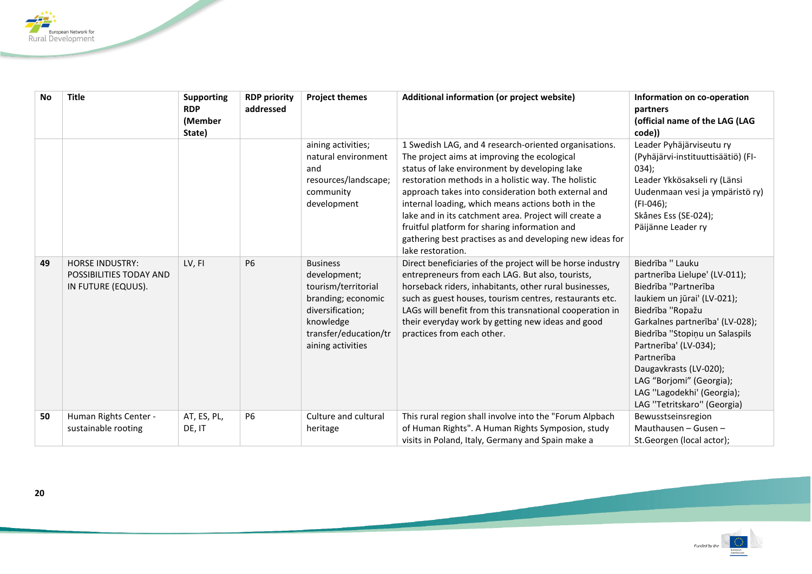

| <b>No</b> | <b>Title</b>                                                            | <b>Supporting</b><br><b>RDP</b><br>(Member<br>State) | <b>RDP priority</b><br>addressed | <b>Project themes</b>                                                                                                                                       | Additional information (or project website)                                                                                                                                                                                                                                                                                                                                                                                                                                                                          | Information on co-operation<br>partners<br>(official name of the LAG (LAG<br>code))                                                                                                                                                                                                                                                                         |
|-----------|-------------------------------------------------------------------------|------------------------------------------------------|----------------------------------|-------------------------------------------------------------------------------------------------------------------------------------------------------------|----------------------------------------------------------------------------------------------------------------------------------------------------------------------------------------------------------------------------------------------------------------------------------------------------------------------------------------------------------------------------------------------------------------------------------------------------------------------------------------------------------------------|-------------------------------------------------------------------------------------------------------------------------------------------------------------------------------------------------------------------------------------------------------------------------------------------------------------------------------------------------------------|
|           |                                                                         |                                                      |                                  | aining activities;<br>natural environment<br>and<br>resources/landscape;<br>community<br>development                                                        | 1 Swedish LAG, and 4 research-oriented organisations.<br>The project aims at improving the ecological<br>status of lake environment by developing lake<br>restoration methods in a holistic way. The holistic<br>approach takes into consideration both external and<br>internal loading, which means actions both in the<br>lake and in its catchment area. Project will create a<br>fruitful platform for sharing information and<br>gathering best practises as and developing new ideas for<br>lake restoration. | Leader Pyhäjärviseutu ry<br>(Pyhäjärvi-instituuttisäätiö) (FI-<br>034);<br>Leader Ykkösakseli ry (Länsi<br>Uudenmaan vesi ja ympäristö ry)<br>$(FI-046);$<br>Skånes Ess (SE-024);<br>Päijänne Leader ry                                                                                                                                                     |
| 49        | <b>HORSE INDUSTRY:</b><br>POSSIBILITIES TODAY AND<br>IN FUTURE (EQUUS). | LV, FI                                               | <b>P6</b>                        | <b>Business</b><br>development;<br>tourism/territorial<br>branding; economic<br>diversification;<br>knowledge<br>transfer/education/tr<br>aining activities | Direct beneficiaries of the project will be horse industry<br>entrepreneurs from each LAG. But also, tourists,<br>horseback riders, inhabitants, other rural businesses,<br>such as guest houses, tourism centres, restaurants etc.<br>LAGs will benefit from this transnational cooperation in<br>their everyday work by getting new ideas and good<br>practices from each other.                                                                                                                                   | Biedrība " Lauku<br>partnerība Lielupe' (LV-011);<br>Biedrība "Partnerība<br>laukiem un jūrai' (LV-021);<br>Biedrība "Ropažu<br>Garkalnes partnerība' (LV-028);<br>Biedrība "Stopiņu un Salaspils<br>Partnerība' (LV-034);<br>Partnerība<br>Daugavkrasts (LV-020);<br>LAG "Borjomi" (Georgia);<br>LAG "Lagodekhi' (Georgia);<br>LAG "Tetritskaro" (Georgia) |
| 50        | Human Rights Center -<br>sustainable rooting                            | AT, ES, PL,<br>DE, IT                                | <b>P6</b>                        | Culture and cultural<br>heritage                                                                                                                            | This rural region shall involve into the "Forum Alpbach<br>of Human Rights". A Human Rights Symposion, study<br>visits in Poland, Italy, Germany and Spain make a                                                                                                                                                                                                                                                                                                                                                    | Bewusstseinsregion<br>Mauthausen $-$ Gusen $-$<br>St.Georgen (local actor);                                                                                                                                                                                                                                                                                 |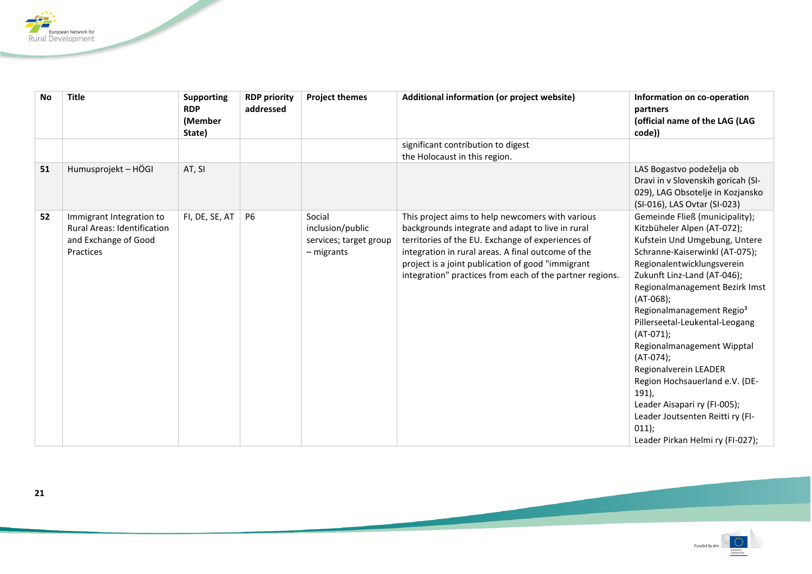

| <b>No</b> | <b>Title</b>                       | <b>Supporting</b><br><b>RDP</b> | <b>RDP priority</b><br>addressed | <b>Project themes</b>  | Additional information (or project website)              | Information on co-operation<br>partners  |
|-----------|------------------------------------|---------------------------------|----------------------------------|------------------------|----------------------------------------------------------|------------------------------------------|
|           |                                    | (Member<br>State)               |                                  |                        |                                                          | (official name of the LAG (LAG<br>code)) |
|           |                                    |                                 |                                  |                        | significant contribution to digest                       |                                          |
|           |                                    |                                 |                                  |                        | the Holocaust in this region.                            |                                          |
| 51        | Humusprojekt - HÖGI                | AT, SI                          |                                  |                        |                                                          | LAS Bogastvo podeželja ob                |
|           |                                    |                                 |                                  |                        |                                                          | Dravi in v Slovenskih goricah (SI-       |
|           |                                    |                                 |                                  |                        |                                                          | 029), LAG Obsotelje in Kozjansko         |
|           |                                    |                                 |                                  |                        |                                                          | (SI-016), LAS Ovtar (SI-023)             |
| 52        | Immigrant Integration to           | FI, DE, SE, AT                  | <b>P6</b>                        | Social                 | This project aims to help newcomers with various         | Gemeinde Fließ (municipality);           |
|           | <b>Rural Areas: Identification</b> |                                 |                                  | inclusion/public       | backgrounds integrate and adapt to live in rural         | Kitzbüheler Alpen (AT-072);              |
|           | and Exchange of Good               |                                 |                                  | services; target group | territories of the EU. Exchange of experiences of        | Kufstein Und Umgebung, Untere            |
|           | Practices                          |                                 |                                  | - migrants             | integration in rural areas. A final outcome of the       | Schranne-Kaiserwinkl (AT-075);           |
|           |                                    |                                 |                                  |                        | project is a joint publication of good "immigrant        | Regionalentwicklungsverein               |
|           |                                    |                                 |                                  |                        | integration" practices from each of the partner regions. | Zukunft Linz-Land (AT-046);              |
|           |                                    |                                 |                                  |                        |                                                          | Regionalmanagement Bezirk Imst           |
|           |                                    |                                 |                                  |                        |                                                          | $(AT-068);$                              |
|           |                                    |                                 |                                  |                        |                                                          | Regionalmanagement Regio <sup>3</sup>    |
|           |                                    |                                 |                                  |                        |                                                          | Pillerseetal-Leukental-Leogang           |
|           |                                    |                                 |                                  |                        |                                                          | $(AT-071)$ ;                             |
|           |                                    |                                 |                                  |                        |                                                          | Regionalmanagement Wipptal               |
|           |                                    |                                 |                                  |                        |                                                          | $(AT-074)$ ;                             |
|           |                                    |                                 |                                  |                        |                                                          | Regionalverein LEADER                    |
|           |                                    |                                 |                                  |                        |                                                          | Region Hochsauerland e.V. (DE-           |
|           |                                    |                                 |                                  |                        |                                                          | $191$ ),                                 |
|           |                                    |                                 |                                  |                        |                                                          | Leader Aisapari ry (FI-005);             |
|           |                                    |                                 |                                  |                        |                                                          | Leader Joutsenten Reitti ry (FI-         |
|           |                                    |                                 |                                  |                        |                                                          | 011);                                    |
|           |                                    |                                 |                                  |                        |                                                          | Leader Pirkan Helmi ry (FI-027);         |

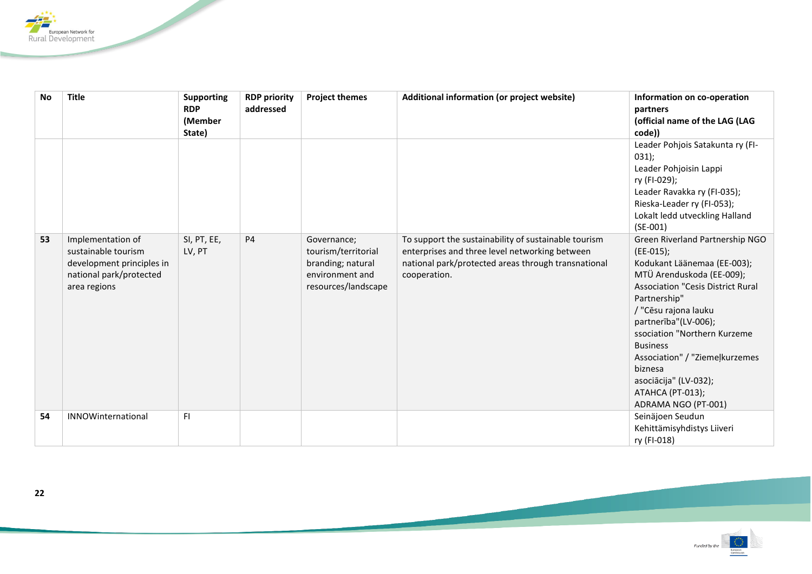

| <b>No</b> | <b>Title</b>              | <b>Supporting</b> | <b>RDP priority</b> | <b>Project themes</b> | Additional information (or project website)          | Information on co-operation              |
|-----------|---------------------------|-------------------|---------------------|-----------------------|------------------------------------------------------|------------------------------------------|
|           |                           | <b>RDP</b>        | addressed           |                       |                                                      | partners                                 |
|           |                           | (Member           |                     |                       |                                                      | (official name of the LAG (LAG           |
|           |                           | State)            |                     |                       |                                                      | code))                                   |
|           |                           |                   |                     |                       |                                                      | Leader Pohjois Satakunta ry (FI-         |
|           |                           |                   |                     |                       |                                                      | 031);                                    |
|           |                           |                   |                     |                       |                                                      | Leader Pohjoisin Lappi                   |
|           |                           |                   |                     |                       |                                                      | ry (FI-029);                             |
|           |                           |                   |                     |                       |                                                      | Leader Ravakka ry (FI-035);              |
|           |                           |                   |                     |                       |                                                      | Rieska-Leader ry (FI-053);               |
|           |                           |                   |                     |                       |                                                      | Lokalt ledd utveckling Halland           |
|           |                           |                   |                     |                       |                                                      | $(SE-001)$                               |
| 53        | Implementation of         | SI, PT, EE,       | <b>P4</b>           | Governance;           | To support the sustainability of sustainable tourism | Green Riverland Partnership NGO          |
|           | sustainable tourism       | LV, PT            |                     | tourism/territorial   | enterprises and three level networking between       | (EE-015);                                |
|           | development principles in |                   |                     | branding; natural     | national park/protected areas through transnational  | Kodukant Läänemaa (EE-003);              |
|           | national park/protected   |                   |                     | environment and       | cooperation.                                         | MTÜ Arenduskoda (EE-009);                |
|           | area regions              |                   |                     | resources/landscape   |                                                      | <b>Association "Cesis District Rural</b> |
|           |                           |                   |                     |                       |                                                      | Partnership"                             |
|           |                           |                   |                     |                       |                                                      | / "Cēsu rajona lauku                     |
|           |                           |                   |                     |                       |                                                      | partnerība"(LV-006);                     |
|           |                           |                   |                     |                       |                                                      | ssociation "Northern Kurzeme             |
|           |                           |                   |                     |                       |                                                      | <b>Business</b>                          |
|           |                           |                   |                     |                       |                                                      | Association" / "Ziemeļkurzemes           |
|           |                           |                   |                     |                       |                                                      | biznesa                                  |
|           |                           |                   |                     |                       |                                                      | asociācija" (LV-032);                    |
|           |                           |                   |                     |                       |                                                      | <b>ATAHCA (PT-013);</b>                  |
|           |                           |                   |                     |                       |                                                      | ADRAMA NGO (PT-001)                      |
| 54        | INNOWinternational        | F1                |                     |                       |                                                      | Seinäjoen Seudun                         |
|           |                           |                   |                     |                       |                                                      | Kehittämisyhdistys Liiveri               |
|           |                           |                   |                     |                       |                                                      | ry (FI-018)                              |

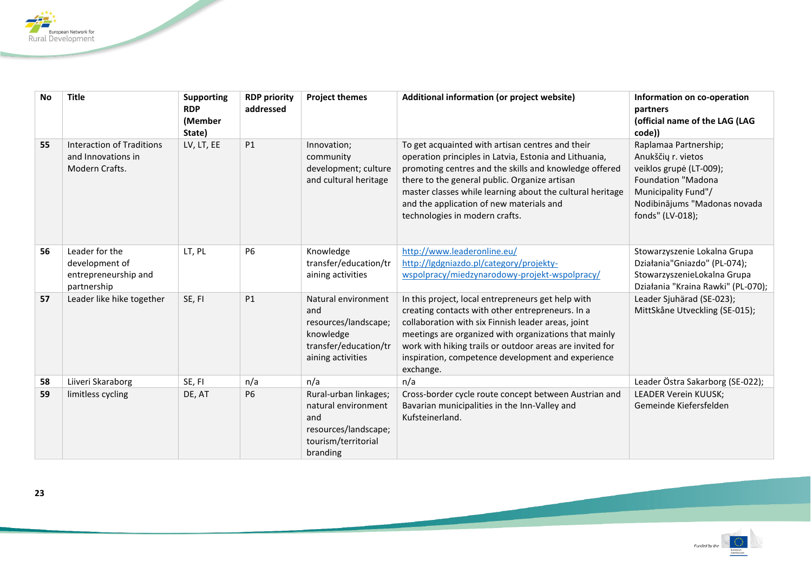

| <b>No</b> | <b>Title</b>                                                            | <b>Supporting</b><br><b>RDP</b><br>(Member<br>State) | <b>RDP priority</b><br>addressed | <b>Project themes</b>                                                                                          | Additional information (or project website)                                                                                                                                                                                                                                                                                                                      | Information on co-operation<br>partners<br>(official name of the LAG (LAG<br>code))                                                                                            |
|-----------|-------------------------------------------------------------------------|------------------------------------------------------|----------------------------------|----------------------------------------------------------------------------------------------------------------|------------------------------------------------------------------------------------------------------------------------------------------------------------------------------------------------------------------------------------------------------------------------------------------------------------------------------------------------------------------|--------------------------------------------------------------------------------------------------------------------------------------------------------------------------------|
| 55        | Interaction of Traditions<br>and Innovations in<br>Modern Crafts.       | LV, LT, EE                                           | P1                               | Innovation;<br>community<br>development; culture<br>and cultural heritage                                      | To get acquainted with artisan centres and their<br>operation principles in Latvia, Estonia and Lithuania,<br>promoting centres and the skills and knowledge offered<br>there to the general public. Organize artisan<br>master classes while learning about the cultural heritage<br>and the application of new materials and<br>technologies in modern crafts. | Raplamaa Partnership;<br>Anukščių r. vietos<br>veiklos grupė (LT-009);<br><b>Foundation "Madona</b><br>Municipality Fund"/<br>Nodibinājums "Madonas novada<br>fonds" (LV-018); |
| 56        | Leader for the<br>development of<br>entrepreneurship and<br>partnership | LT, PL                                               | <b>P6</b>                        | Knowledge<br>transfer/education/tr<br>aining activities                                                        | http://www.leaderonline.eu/<br>http://lgdgniazdo.pl/category/projekty-<br>wspolpracy/miedzynarodowy-projekt-wspolpracy/                                                                                                                                                                                                                                          | Stowarzyszenie Lokalna Grupa<br>Działania"Gniazdo" (PL-074);<br>StowarzyszenieLokalna Grupa<br>Działania "Kraina Rawki" (PL-070);                                              |
| 57        | Leader like hike together                                               | SE, FI                                               | <b>P1</b>                        | Natural environment<br>and<br>resources/landscape;<br>knowledge<br>transfer/education/tr<br>aining activities  | In this project, local entrepreneurs get help with<br>creating contacts with other entrepreneurs. In a<br>collaboration with six Finnish leader areas, joint<br>meetings are organized with organizations that mainly<br>work with hiking trails or outdoor areas are invited for<br>inspiration, competence development and experience<br>exchange.             | Leader Sjuhärad (SE-023);<br>MittSkåne Utveckling (SE-015);                                                                                                                    |
| 58        | Liiveri Skaraborg                                                       | SE, FI                                               | n/a                              | n/a                                                                                                            | n/a                                                                                                                                                                                                                                                                                                                                                              | Leader Östra Sakarborg (SE-022);                                                                                                                                               |
| 59        | limitless cycling                                                       | DE, AT                                               | <b>P6</b>                        | Rural-urban linkages;<br>natural environment<br>and<br>resources/landscape;<br>tourism/territorial<br>branding | Cross-border cycle route concept between Austrian and<br>Bavarian municipalities in the Inn-Valley and<br>Kufsteinerland.                                                                                                                                                                                                                                        | <b>LEADER Verein KUUSK;</b><br>Gemeinde Kiefersfelden                                                                                                                          |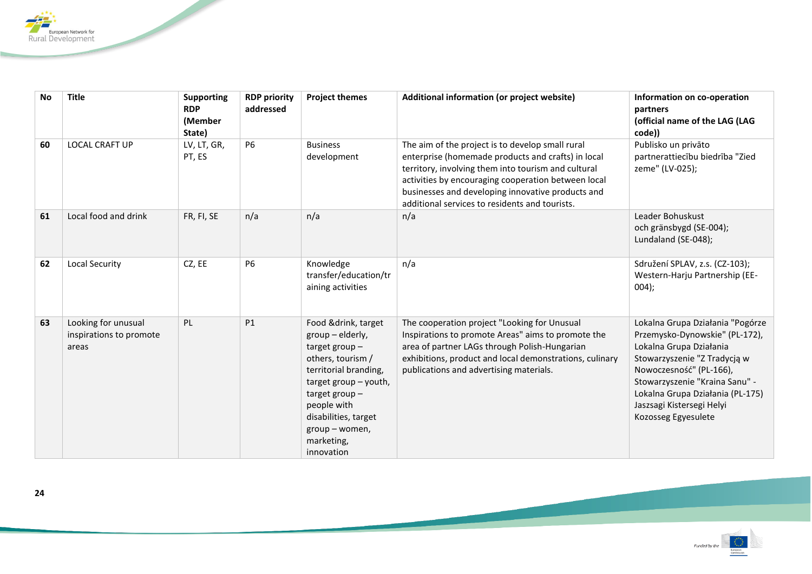

| <b>No</b> | <b>Title</b>                                            | <b>Supporting</b><br><b>RDP</b><br>(Member<br>State) | <b>RDP priority</b><br>addressed | <b>Project themes</b>                                                                                                                                                                                                                       | Additional information (or project website)                                                                                                                                                                                                                                                                                 | Information on co-operation<br>partners<br>(official name of the LAG (LAG<br>code))                                                                                                                                                                                                |
|-----------|---------------------------------------------------------|------------------------------------------------------|----------------------------------|---------------------------------------------------------------------------------------------------------------------------------------------------------------------------------------------------------------------------------------------|-----------------------------------------------------------------------------------------------------------------------------------------------------------------------------------------------------------------------------------------------------------------------------------------------------------------------------|------------------------------------------------------------------------------------------------------------------------------------------------------------------------------------------------------------------------------------------------------------------------------------|
| 60        | <b>LOCAL CRAFT UP</b>                                   | LV, LT, GR,<br>PT, ES                                | <b>P6</b>                        | <b>Business</b><br>development                                                                                                                                                                                                              | The aim of the project is to develop small rural<br>enterprise (homemade products and crafts) in local<br>territory, involving them into tourism and cultural<br>activities by encouraging cooperation between local<br>businesses and developing innovative products and<br>additional services to residents and tourists. | Publisko un privāto<br>partnerattiecību biedrība "Zied<br>zeme" (LV-025);                                                                                                                                                                                                          |
| 61        | Local food and drink                                    | FR, FI, SE                                           | n/a                              | n/a                                                                                                                                                                                                                                         | n/a                                                                                                                                                                                                                                                                                                                         | Leader Bohuskust<br>och gränsbygd (SE-004);<br>Lundaland (SE-048);                                                                                                                                                                                                                 |
| 62        | <b>Local Security</b>                                   | CZ, EE                                               | <b>P6</b>                        | Knowledge<br>transfer/education/tr<br>aining activities                                                                                                                                                                                     | n/a                                                                                                                                                                                                                                                                                                                         | Sdružení SPLAV, z.s. (CZ-103);<br>Western-Harju Partnership (EE-<br>004);                                                                                                                                                                                                          |
| 63        | Looking for unusual<br>inspirations to promote<br>areas | PL                                                   | <b>P1</b>                        | Food &drink, target<br>group - elderly,<br>target group $-$<br>others, tourism /<br>territorial branding,<br>target group - youth,<br>target group $-$<br>people with<br>disabilities, target<br>group - women,<br>marketing,<br>innovation | The cooperation project "Looking for Unusual<br>Inspirations to promote Areas" aims to promote the<br>area of partner LAGs through Polish-Hungarian<br>exhibitions, product and local demonstrations, culinary<br>publications and advertising materials.                                                                   | Lokalna Grupa Działania "Pogórze<br>Przemysko-Dynowskie" (PL-172),<br>Lokalna Grupa Działania<br>Stowarzyszenie "Z Tradycją w<br>Nowoczesność" (PL-166),<br>Stowarzyszenie "Kraina Sanu" -<br>Lokalna Grupa Działania (PL-175)<br>Jaszsagi Kistersegi Helyi<br>Kozosseg Egyesulete |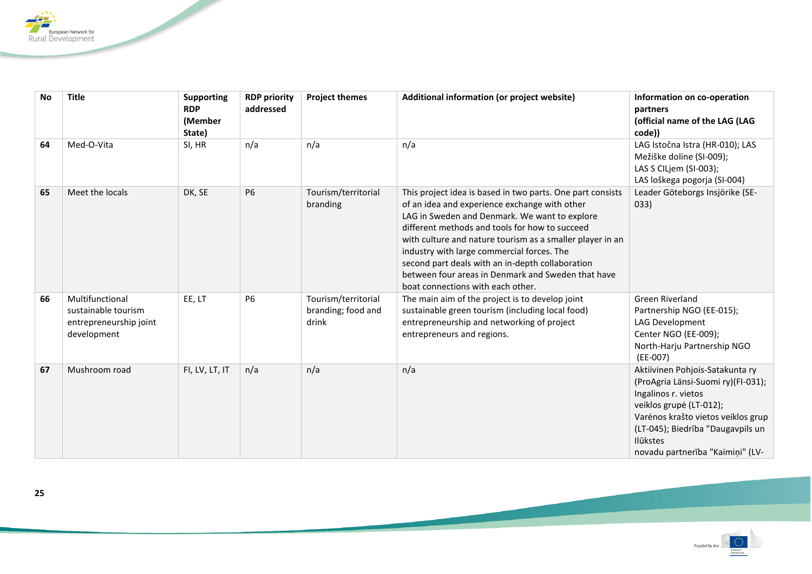

| <b>No</b> | <b>Title</b>                                                                    | <b>Supporting</b><br><b>RDP</b><br>(Member<br>State) | <b>RDP priority</b><br>addressed | <b>Project themes</b>                              | Additional information (or project website)                                                                                                                                                                                                                                                                                                                                                                                                                              | Information on co-operation<br>partners<br>(official name of the LAG (LAG<br>code))                                                                                                                                                                       |
|-----------|---------------------------------------------------------------------------------|------------------------------------------------------|----------------------------------|----------------------------------------------------|--------------------------------------------------------------------------------------------------------------------------------------------------------------------------------------------------------------------------------------------------------------------------------------------------------------------------------------------------------------------------------------------------------------------------------------------------------------------------|-----------------------------------------------------------------------------------------------------------------------------------------------------------------------------------------------------------------------------------------------------------|
| 64        | Med-O-Vita                                                                      | SI, HR                                               | n/a                              | n/a                                                | n/a                                                                                                                                                                                                                                                                                                                                                                                                                                                                      | LAG Istočna Istra (HR-010); LAS<br>Mežiške doline (SI-009);<br>LAS S CILjem (SI-003);<br>LAS loškega pogorja (SI-004)                                                                                                                                     |
| 65        | Meet the locals                                                                 | DK, SE                                               | <b>P6</b>                        | Tourism/territorial<br>branding                    | This project idea is based in two parts. One part consists<br>of an idea and experience exchange with other<br>LAG in Sweden and Denmark. We want to explore<br>different methods and tools for how to succeed<br>with culture and nature tourism as a smaller player in an<br>industry with large commercial forces. The<br>second part deals with an in-depth collaboration<br>between four areas in Denmark and Sweden that have<br>boat connections with each other. | Leader Göteborgs Insjörike (SE-<br>033)                                                                                                                                                                                                                   |
| 66        | Multifunctional<br>sustainable tourism<br>entrepreneurship joint<br>development | EE, LT                                               | <b>P6</b>                        | Tourism/territorial<br>branding; food and<br>drink | The main aim of the project is to develop joint<br>sustainable green tourism (including local food)<br>entrepreneurship and networking of project<br>entrepreneurs and regions.                                                                                                                                                                                                                                                                                          | Green Riverland<br>Partnership NGO (EE-015);<br>LAG Development<br>Center NGO (EE-009);<br>North-Harju Partnership NGO<br>$(EE-007)$                                                                                                                      |
| 67        | Mushroom road                                                                   | FI, LV, LT, IT                                       | n/a                              | n/a                                                | n/a                                                                                                                                                                                                                                                                                                                                                                                                                                                                      | Aktiivinen Pohjois-Satakunta ry<br>(ProAgria Länsi-Suomi ry)(FI-031);<br>Ingalinos r. vietos<br>veiklos grupė (LT-012);<br>Varėnos krašto vietos veiklos grup<br>(LT-045); Biedrība "Daugavpils un<br><b>Ilūkstes</b><br>novadu partnerība "Kaimiņi" (LV- |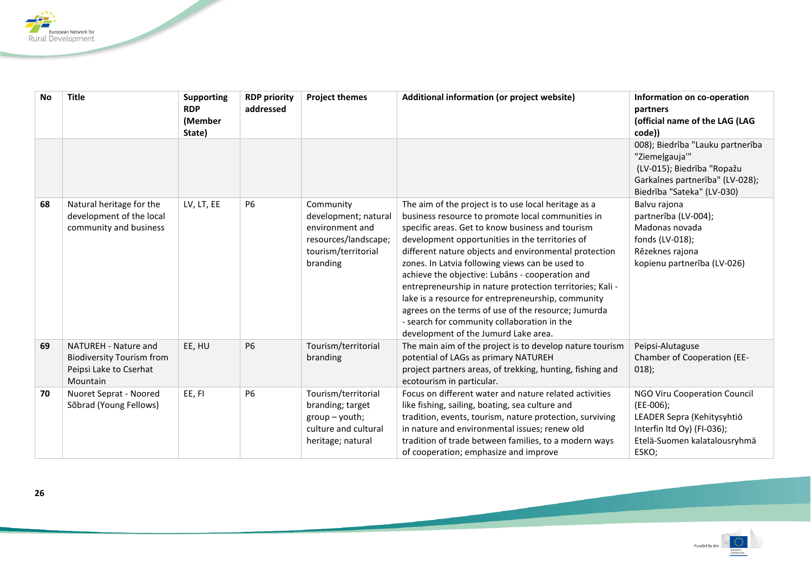

| <b>No</b> | <b>Title</b>                                                                                   | <b>Supporting</b><br><b>RDP</b><br>(Member<br>State) | <b>RDP priority</b><br>addressed | <b>Project themes</b>                                                                                           | Additional information (or project website)                                                                                                                                                                                                                                                                                                                                                                                                                                                                                                                                                                                                      | Information on co-operation<br>partners<br>(official name of the LAG (LAG<br>code))                                                                     |
|-----------|------------------------------------------------------------------------------------------------|------------------------------------------------------|----------------------------------|-----------------------------------------------------------------------------------------------------------------|--------------------------------------------------------------------------------------------------------------------------------------------------------------------------------------------------------------------------------------------------------------------------------------------------------------------------------------------------------------------------------------------------------------------------------------------------------------------------------------------------------------------------------------------------------------------------------------------------------------------------------------------------|---------------------------------------------------------------------------------------------------------------------------------------------------------|
|           |                                                                                                |                                                      |                                  |                                                                                                                 |                                                                                                                                                                                                                                                                                                                                                                                                                                                                                                                                                                                                                                                  | 008); Biedrība "Lauku partnerība<br>"Ziemeļgauja"<br>(LV-015); Biedrība "Ropažu<br>Garkalnes partnerība" (LV-028);<br>Biedrība "Sateka" (LV-030)        |
| 68        | Natural heritage for the<br>development of the local<br>community and business                 | LV, LT, EE                                           | P6                               | Community<br>development; natural<br>environment and<br>resources/landscape;<br>tourism/territorial<br>branding | The aim of the project is to use local heritage as a<br>business resource to promote local communities in<br>specific areas. Get to know business and tourism<br>development opportunities in the territories of<br>different nature objects and environmental protection<br>zones. In Latvia following views can be used to<br>achieve the objective: Lubans - cooperation and<br>entrepreneurship in nature protection territories; Kali -<br>lake is a resource for entrepreneurship, community<br>agrees on the terms of use of the resource; Jumurda<br>- search for community collaboration in the<br>development of the Jumurd Lake area. | Balvu rajona<br>partnerība (LV-004);<br>Madonas novada<br>fonds (LV-018);<br>Rēzeknes rajona<br>kopienu partnerība (LV-026)                             |
| 69        | NATUREH - Nature and<br><b>Biodiversity Tourism from</b><br>Peipsi Lake to Cserhat<br>Mountain | EE, HU                                               | <b>P6</b>                        | Tourism/territorial<br>branding                                                                                 | The main aim of the project is to develop nature tourism<br>potential of LAGs as primary NATUREH<br>project partners areas, of trekking, hunting, fishing and<br>ecotourism in particular.                                                                                                                                                                                                                                                                                                                                                                                                                                                       | Peipsi-Alutaguse<br>Chamber of Cooperation (EE-<br>018);                                                                                                |
| 70        | Nuoret Seprat - Noored<br>Sõbrad (Young Fellows)                                               | EE, FI                                               | <b>P6</b>                        | Tourism/territorial<br>branding; target<br>$group - youth;$<br>culture and cultural<br>heritage; natural        | Focus on different water and nature related activities<br>like fishing, sailing, boating, sea culture and<br>tradition, events, tourism, nature protection, surviving<br>in nature and environmental issues; renew old<br>tradition of trade between families, to a modern ways<br>of cooperation; emphasize and improve                                                                                                                                                                                                                                                                                                                         | <b>NGO Viru Cooperation Council</b><br>$(EE-006);$<br>LEADER Sepra (Kehitysyhtiö<br>Interfin ltd Oy) (FI-036);<br>Etelä-Suomen kalatalousryhmä<br>ESKO; |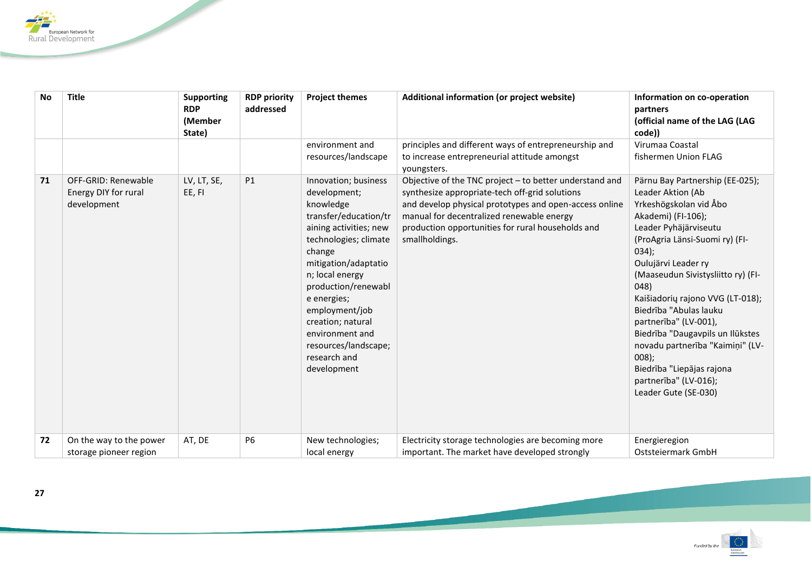

| <b>No</b> | <b>Title</b>                                               | <b>Supporting</b><br><b>RDP</b><br>(Member<br>State) | <b>RDP priority</b><br>addressed | <b>Project themes</b>                                                                                                                                                                                                                                                                                                                     | Additional information (or project website)                                                                                                                                                                                                                                             | Information on co-operation<br>partners<br>(official name of the LAG (LAG<br>code))                                                                                                                                                                                                                                                                                                                                                                                                                 |
|-----------|------------------------------------------------------------|------------------------------------------------------|----------------------------------|-------------------------------------------------------------------------------------------------------------------------------------------------------------------------------------------------------------------------------------------------------------------------------------------------------------------------------------------|-----------------------------------------------------------------------------------------------------------------------------------------------------------------------------------------------------------------------------------------------------------------------------------------|-----------------------------------------------------------------------------------------------------------------------------------------------------------------------------------------------------------------------------------------------------------------------------------------------------------------------------------------------------------------------------------------------------------------------------------------------------------------------------------------------------|
|           |                                                            |                                                      |                                  | environment and<br>resources/landscape                                                                                                                                                                                                                                                                                                    | principles and different ways of entrepreneurship and<br>to increase entrepreneurial attitude amongst<br>youngsters.                                                                                                                                                                    | Virumaa Coastal<br>fishermen Union FLAG                                                                                                                                                                                                                                                                                                                                                                                                                                                             |
| 71        | OFF-GRID: Renewable<br>Energy DIY for rural<br>development | LV, LT, SE,<br>EE, FI                                | <b>P1</b>                        | Innovation; business<br>development;<br>knowledge<br>transfer/education/tr<br>aining activities; new<br>technologies; climate<br>change<br>mitigation/adaptatio<br>n; local energy<br>production/renewabl<br>e energies;<br>employment/job<br>creation; natural<br>environment and<br>resources/landscape;<br>research and<br>development | Objective of the TNC project - to better understand and<br>synthesize appropriate-tech off-grid solutions<br>and develop physical prototypes and open-access online<br>manual for decentralized renewable energy<br>production opportunities for rural households and<br>smallholdings. | Pärnu Bay Partnership (EE-025);<br>Leader Aktion (Ab<br>Yrkeshögskolan vid Åbo<br>Akademi) (FI-106);<br>Leader Pyhäjärviseutu<br>(ProAgria Länsi-Suomi ry) (FI-<br>034);<br>Oulujärvi Leader ry<br>(Maaseudun Sivistysliitto ry) (FI-<br>048)<br>Kaišiadorių rajono VVG (LT-018);<br>Biedrība "Abulas lauku<br>partnerība" (LV-001),<br>Biedrība "Daugavpils un Ilūkstes<br>novadu partnerība "Kaimiņi" (LV-<br>008);<br>Biedrība "Liepājas rajona<br>partnerība" (LV-016);<br>Leader Gute (SE-030) |
| 72        | On the way to the power<br>storage pioneer region          | AT, DE                                               | <b>P6</b>                        | New technologies;<br>local energy                                                                                                                                                                                                                                                                                                         | Electricity storage technologies are becoming more<br>important. The market have developed strongly                                                                                                                                                                                     | Energieregion<br>Oststeiermark GmbH                                                                                                                                                                                                                                                                                                                                                                                                                                                                 |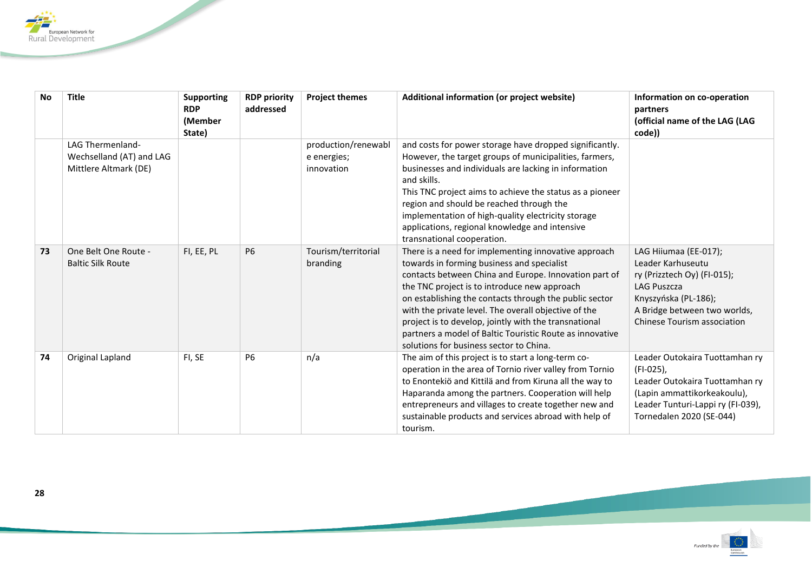

| <b>No</b> | <b>Title</b>                                                                 | <b>Supporting</b><br><b>RDP</b><br>(Member<br>State) | <b>RDP priority</b><br>addressed | <b>Project themes</b>                            | Additional information (or project website)                                                                                                                                                                                                                                                                                                                                                                                                                                                   | Information on co-operation<br>partners<br>(official name of the LAG (LAG<br>code))                                                                                             |
|-----------|------------------------------------------------------------------------------|------------------------------------------------------|----------------------------------|--------------------------------------------------|-----------------------------------------------------------------------------------------------------------------------------------------------------------------------------------------------------------------------------------------------------------------------------------------------------------------------------------------------------------------------------------------------------------------------------------------------------------------------------------------------|---------------------------------------------------------------------------------------------------------------------------------------------------------------------------------|
|           | <b>LAG Thermenland-</b><br>Wechselland (AT) and LAG<br>Mittlere Altmark (DE) |                                                      |                                  | production/renewabl<br>e energies;<br>innovation | and costs for power storage have dropped significantly.<br>However, the target groups of municipalities, farmers,<br>businesses and individuals are lacking in information<br>and skills.<br>This TNC project aims to achieve the status as a pioneer<br>region and should be reached through the<br>implementation of high-quality electricity storage<br>applications, regional knowledge and intensive<br>transnational cooperation.                                                       |                                                                                                                                                                                 |
| 73        | One Belt One Route -<br><b>Baltic Silk Route</b>                             | FI, EE, PL                                           | <b>P6</b>                        | Tourism/territorial<br>branding                  | There is a need for implementing innovative approach<br>towards in forming business and specialist<br>contacts between China and Europe. Innovation part of<br>the TNC project is to introduce new approach<br>on establishing the contacts through the public sector<br>with the private level. The overall objective of the<br>project is to develop, jointly with the transnational<br>partners a model of Baltic Touristic Route as innovative<br>solutions for business sector to China. | LAG Hiiumaa (EE-017);<br>Leader Karhuseutu<br>ry (Prizztech Oy) (FI-015);<br>LAG Puszcza<br>Knyszyńska (PL-186);<br>A Bridge between two worlds,<br>Chinese Tourism association |
| 74        | Original Lapland                                                             | FI, SE                                               | <b>P6</b>                        | n/a                                              | The aim of this project is to start a long-term co-<br>operation in the area of Tornio river valley from Tornio<br>to Enontekiö and Kittilä and from Kiruna all the way to<br>Haparanda among the partners. Cooperation will help<br>entrepreneurs and villages to create together new and<br>sustainable products and services abroad with help of<br>tourism.                                                                                                                               | Leader Outokaira Tuottamhan ry<br>(FI-025),<br>Leader Outokaira Tuottamhan ry<br>(Lapin ammattikorkeakoulu),<br>Leader Tunturi-Lappi ry (FI-039),<br>Tornedalen 2020 (SE-044)   |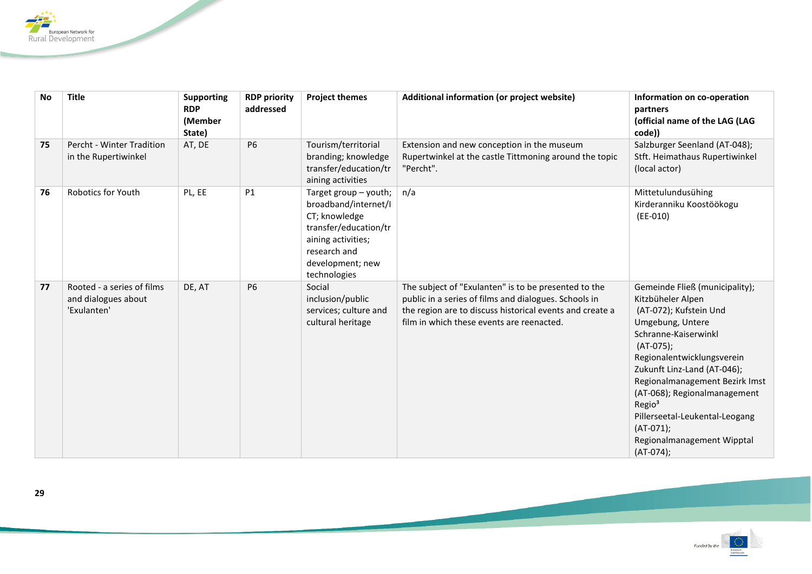

| No | <b>Title</b>                                                     | <b>Supporting</b><br><b>RDP</b><br>(Member<br>State) | <b>RDP priority</b><br>addressed | <b>Project themes</b>                                                                                                                                             | Additional information (or project website)                                                                                                                                                                            | Information on co-operation<br>partners<br>(official name of the LAG (LAG<br>code))                                                                                                                                                                                                                                                                                                           |
|----|------------------------------------------------------------------|------------------------------------------------------|----------------------------------|-------------------------------------------------------------------------------------------------------------------------------------------------------------------|------------------------------------------------------------------------------------------------------------------------------------------------------------------------------------------------------------------------|-----------------------------------------------------------------------------------------------------------------------------------------------------------------------------------------------------------------------------------------------------------------------------------------------------------------------------------------------------------------------------------------------|
| 75 | Percht - Winter Tradition<br>in the Rupertiwinkel                | AT, DE                                               | <b>P6</b>                        | Tourism/territorial<br>branding; knowledge<br>transfer/education/tr<br>aining activities                                                                          | Extension and new conception in the museum<br>Rupertwinkel at the castle Tittmoning around the topic<br>"Percht".                                                                                                      | Salzburger Seenland (AT-048);<br>Stft. Heimathaus Rupertiwinkel<br>(local actor)                                                                                                                                                                                                                                                                                                              |
| 76 | <b>Robotics for Youth</b>                                        | PL, EE                                               | <b>P1</b>                        | Target group - youth;<br>broadband/internet/I<br>CT; knowledge<br>transfer/education/tr<br>aining activities;<br>research and<br>development; new<br>technologies | n/a                                                                                                                                                                                                                    | Mittetulundusühing<br>Kirderanniku Koostöökogu<br>$(EE-010)$                                                                                                                                                                                                                                                                                                                                  |
| 77 | Rooted - a series of films<br>and dialogues about<br>'Exulanten' | DE, AT                                               | P <sub>6</sub>                   | Social<br>inclusion/public<br>services; culture and<br>cultural heritage                                                                                          | The subject of "Exulanten" is to be presented to the<br>public in a series of films and dialogues. Schools in<br>the region are to discuss historical events and create a<br>film in which these events are reenacted. | Gemeinde Fließ (municipality);<br>Kitzbüheler Alpen<br>(AT-072); Kufstein Und<br>Umgebung, Untere<br>Schranne-Kaiserwinkl<br>$(AT-075)$ ;<br>Regionalentwicklungsverein<br>Zukunft Linz-Land (AT-046);<br>Regionalmanagement Bezirk Imst<br>(AT-068); Regionalmanagement<br>Regio <sup>3</sup><br>Pillerseetal-Leukental-Leogang<br>$(AT-071);$<br>Regionalmanagement Wipptal<br>$(AT-074)$ ; |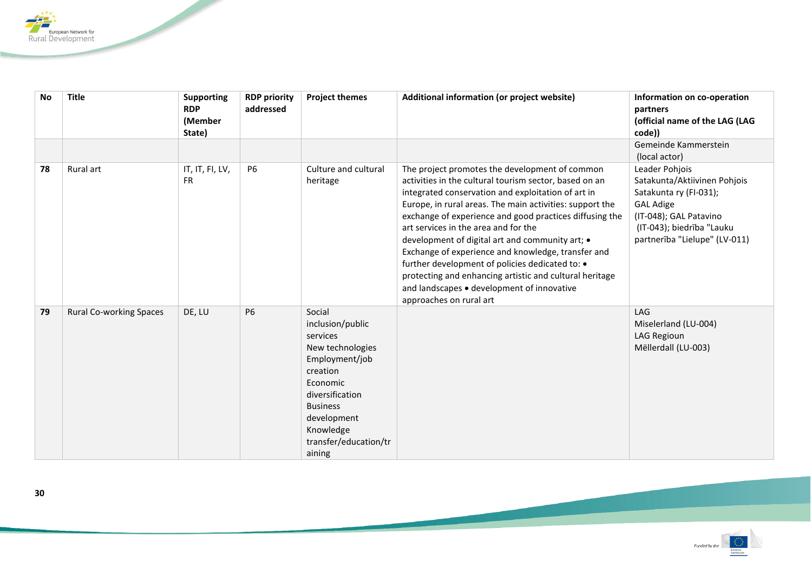

| <b>No</b> | <b>Title</b>                   | <b>Supporting</b><br><b>RDP</b><br>(Member<br>State) | <b>RDP priority</b><br>addressed | <b>Project themes</b>                                                                                                                                                                                     | Additional information (or project website)                                                                                                                                                                                                                                                                                                                                                                                                                                                                                                                                                                                   | Information on co-operation<br>partners<br>(official name of the LAG (LAG<br>code))                                                                                                  |
|-----------|--------------------------------|------------------------------------------------------|----------------------------------|-----------------------------------------------------------------------------------------------------------------------------------------------------------------------------------------------------------|-------------------------------------------------------------------------------------------------------------------------------------------------------------------------------------------------------------------------------------------------------------------------------------------------------------------------------------------------------------------------------------------------------------------------------------------------------------------------------------------------------------------------------------------------------------------------------------------------------------------------------|--------------------------------------------------------------------------------------------------------------------------------------------------------------------------------------|
|           |                                |                                                      |                                  |                                                                                                                                                                                                           |                                                                                                                                                                                                                                                                                                                                                                                                                                                                                                                                                                                                                               | Gemeinde Kammerstein<br>(local actor)                                                                                                                                                |
| 78        | Rural art                      | IT, IT, FI, LV,<br><b>FR</b>                         | <b>P6</b>                        | Culture and cultural<br>heritage                                                                                                                                                                          | The project promotes the development of common<br>activities in the cultural tourism sector, based on an<br>integrated conservation and exploitation of art in<br>Europe, in rural areas. The main activities: support the<br>exchange of experience and good practices diffusing the<br>art services in the area and for the<br>development of digital art and community art; •<br>Exchange of experience and knowledge, transfer and<br>further development of policies dedicated to: •<br>protecting and enhancing artistic and cultural heritage<br>and landscapes • development of innovative<br>approaches on rural art | Leader Pohjois<br>Satakunta/Aktiivinen Pohjois<br>Satakunta ry (FI-031);<br><b>GAL Adige</b><br>(IT-048); GAL Patavino<br>(IT-043); biedrība "Lauku<br>partnerība "Lielupe" (LV-011) |
| 79        | <b>Rural Co-working Spaces</b> | DE, LU                                               | <b>P6</b>                        | Social<br>inclusion/public<br>services<br>New technologies<br>Employment/job<br>creation<br>Economic<br>diversification<br><b>Business</b><br>development<br>Knowledge<br>transfer/education/tr<br>aining |                                                                                                                                                                                                                                                                                                                                                                                                                                                                                                                                                                                                                               | LAG<br>Miselerland (LU-004)<br>LAG Regioun<br>Mëllerdall (LU-003)                                                                                                                    |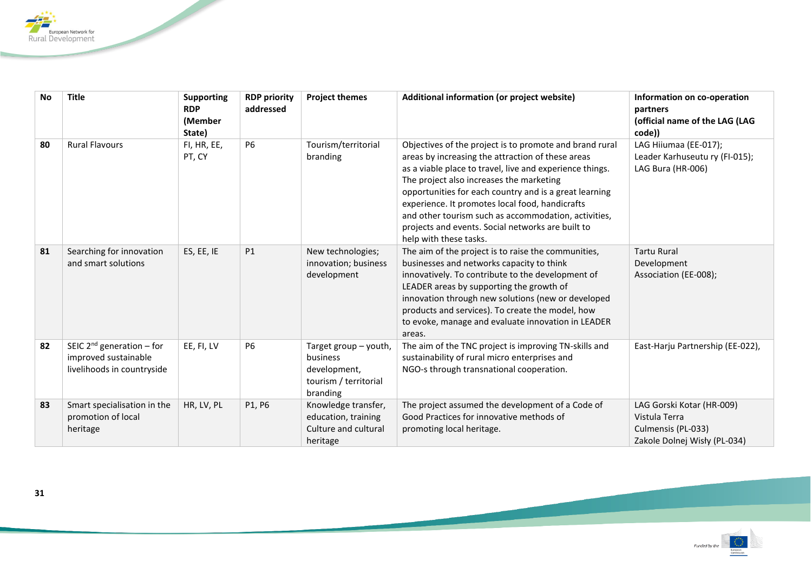

| <b>No</b> | <b>Title</b>                                                                         | <b>Supporting</b><br><b>RDP</b><br>(Member<br>State) | <b>RDP priority</b><br>addressed | <b>Project themes</b>                                                                  | Additional information (or project website)                                                                                                                                                                                                                                                                                                                                                                                                                              | Information on co-operation<br>partners<br>(official name of the LAG (LAG<br>code))              |
|-----------|--------------------------------------------------------------------------------------|------------------------------------------------------|----------------------------------|----------------------------------------------------------------------------------------|--------------------------------------------------------------------------------------------------------------------------------------------------------------------------------------------------------------------------------------------------------------------------------------------------------------------------------------------------------------------------------------------------------------------------------------------------------------------------|--------------------------------------------------------------------------------------------------|
| 80        | <b>Rural Flavours</b>                                                                | FI, HR, EE,<br>PT, CY                                | <b>P6</b>                        | Tourism/territorial<br>branding                                                        | Objectives of the project is to promote and brand rural<br>areas by increasing the attraction of these areas<br>as a viable place to travel, live and experience things.<br>The project also increases the marketing<br>opportunities for each country and is a great learning<br>experience. It promotes local food, handicrafts<br>and other tourism such as accommodation, activities,<br>projects and events. Social networks are built to<br>help with these tasks. | LAG Hiiumaa (EE-017);<br>Leader Karhuseutu ry (FI-015);<br>LAG Bura (HR-006)                     |
| 81        | Searching for innovation<br>and smart solutions                                      | ES, EE, IE                                           | P1                               | New technologies;<br>innovation; business<br>development                               | The aim of the project is to raise the communities,<br>businesses and networks capacity to think<br>innovatively. To contribute to the development of<br>LEADER areas by supporting the growth of<br>innovation through new solutions (new or developed<br>products and services). To create the model, how<br>to evoke, manage and evaluate innovation in LEADER<br>areas.                                                                                              | <b>Tartu Rural</b><br>Development<br>Association (EE-008);                                       |
| 82        | SEIC $2^{nd}$ generation – for<br>improved sustainable<br>livelihoods in countryside | EE, FI, LV                                           | <b>P6</b>                        | Target group - youth,<br>business<br>development,<br>tourism / territorial<br>branding | The aim of the TNC project is improving TN-skills and<br>sustainability of rural micro enterprises and<br>NGO-s through transnational cooperation.                                                                                                                                                                                                                                                                                                                       | East-Harju Partnership (EE-022),                                                                 |
| 83        | Smart specialisation in the<br>promotion of local<br>heritage                        | HR, LV, PL                                           | P1, P6                           | Knowledge transfer,<br>education, training<br>Culture and cultural<br>heritage         | The project assumed the development of a Code of<br>Good Practices for innovative methods of<br>promoting local heritage.                                                                                                                                                                                                                                                                                                                                                | LAG Gorski Kotar (HR-009)<br>Vistula Terra<br>Culmensis (PL-033)<br>Zakole Dolnej Wisły (PL-034) |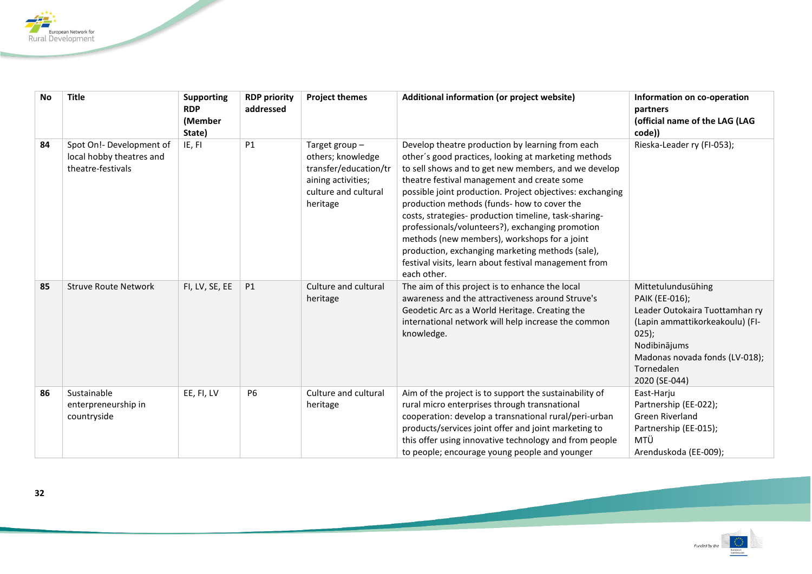

| <b>No</b> | <b>Title</b>                                                              | <b>Supporting</b><br><b>RDP</b><br>(Member<br>State) | <b>RDP priority</b><br>addressed | <b>Project themes</b>                                                                                                 | Additional information (or project website)                                                                                                                                                                                                                                                                                                                                                                                                                                                                                                                                                                          | Information on co-operation<br>partners<br>(official name of the LAG (LAG<br>code))                                                                                                                   |
|-----------|---------------------------------------------------------------------------|------------------------------------------------------|----------------------------------|-----------------------------------------------------------------------------------------------------------------------|----------------------------------------------------------------------------------------------------------------------------------------------------------------------------------------------------------------------------------------------------------------------------------------------------------------------------------------------------------------------------------------------------------------------------------------------------------------------------------------------------------------------------------------------------------------------------------------------------------------------|-------------------------------------------------------------------------------------------------------------------------------------------------------------------------------------------------------|
| 84        | Spot On!- Development of<br>local hobby theatres and<br>theatre-festivals | IE, FI                                               | P1                               | Target group-<br>others; knowledge<br>transfer/education/tr<br>aining activities;<br>culture and cultural<br>heritage | Develop theatre production by learning from each<br>other's good practices, looking at marketing methods<br>to sell shows and to get new members, and we develop<br>theatre festival management and create some<br>possible joint production. Project objectives: exchanging<br>production methods (funds- how to cover the<br>costs, strategies- production timeline, task-sharing-<br>professionals/volunteers?), exchanging promotion<br>methods (new members), workshops for a joint<br>production, exchanging marketing methods (sale),<br>festival visits, learn about festival management from<br>each other. | Rieska-Leader ry (FI-053);                                                                                                                                                                            |
| 85        | <b>Struve Route Network</b>                                               | FI, LV, SE, EE                                       | P1                               | Culture and cultural<br>heritage                                                                                      | The aim of this project is to enhance the local<br>awareness and the attractiveness around Struve's<br>Geodetic Arc as a World Heritage. Creating the<br>international network will help increase the common<br>knowledge.                                                                                                                                                                                                                                                                                                                                                                                           | Mittetulundusühing<br>PAIK (EE-016);<br>Leader Outokaira Tuottamhan ry<br>(Lapin ammattikorkeakoulu) (FI-<br>$025$ ;<br>Nodibinājums<br>Madonas novada fonds (LV-018);<br>Tornedalen<br>2020 (SE-044) |
| 86        | Sustainable<br>enterpreneurship in<br>countryside                         | EE, FI, LV                                           | <b>P6</b>                        | Culture and cultural<br>heritage                                                                                      | Aim of the project is to support the sustainability of<br>rural micro enterprises through transnational<br>cooperation: develop a transnational rural/peri-urban<br>products/services joint offer and joint marketing to<br>this offer using innovative technology and from people<br>to people; encourage young people and younger                                                                                                                                                                                                                                                                                  | East-Harju<br>Partnership (EE-022);<br>Green Riverland<br>Partnership (EE-015);<br>MTÜ<br>Arenduskoda (EE-009);                                                                                       |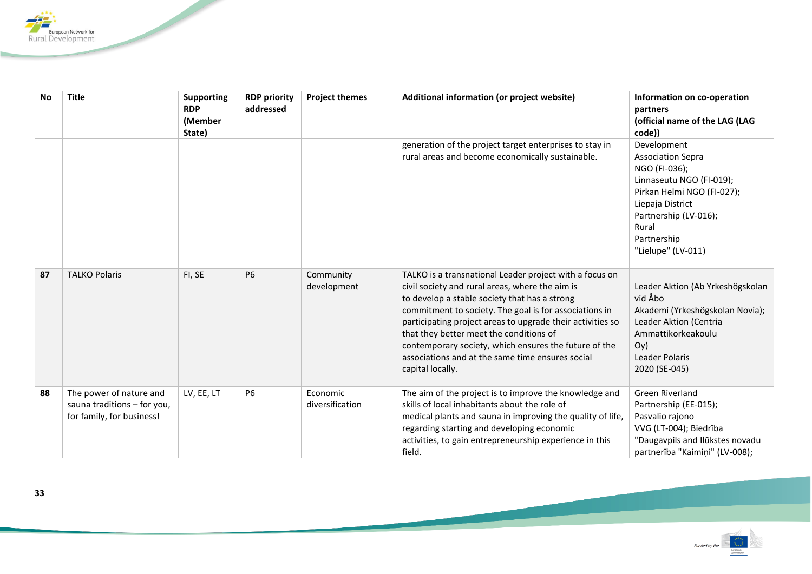

| <b>No</b> | <b>Title</b>                                                                        | <b>Supporting</b><br><b>RDP</b><br>(Member<br>State) | <b>RDP priority</b><br>addressed | <b>Project themes</b>       | Additional information (or project website)                                                                                                                                                                                                                                                                                                                                                                                                                     | Information on co-operation<br>partners<br>(official name of the LAG (LAG<br>code))                                                                                                                           |
|-----------|-------------------------------------------------------------------------------------|------------------------------------------------------|----------------------------------|-----------------------------|-----------------------------------------------------------------------------------------------------------------------------------------------------------------------------------------------------------------------------------------------------------------------------------------------------------------------------------------------------------------------------------------------------------------------------------------------------------------|---------------------------------------------------------------------------------------------------------------------------------------------------------------------------------------------------------------|
|           |                                                                                     |                                                      |                                  |                             | generation of the project target enterprises to stay in<br>rural areas and become economically sustainable.                                                                                                                                                                                                                                                                                                                                                     | Development<br><b>Association Sepra</b><br>NGO (FI-036);<br>Linnaseutu NGO (FI-019);<br>Pirkan Helmi NGO (FI-027);<br>Liepaja District<br>Partnership (LV-016);<br>Rural<br>Partnership<br>"Lielupe" (LV-011) |
| 87        | <b>TALKO Polaris</b>                                                                | FI, SE                                               | <b>P6</b>                        | Community<br>development    | TALKO is a transnational Leader project with a focus on<br>civil society and rural areas, where the aim is<br>to develop a stable society that has a strong<br>commitment to society. The goal is for associations in<br>participating project areas to upgrade their activities so<br>that they better meet the conditions of<br>contemporary society, which ensures the future of the<br>associations and at the same time ensures social<br>capital locally. | Leader Aktion (Ab Yrkeshögskolan<br>vid Åbo<br>Akademi (Yrkeshögskolan Novia);<br>Leader Aktion (Centria<br>Ammattikorkeakoulu<br>O(y)<br>Leader Polaris<br>2020 (SE-045)                                     |
| 88        | The power of nature and<br>sauna traditions - for you,<br>for family, for business! | LV, EE, LT                                           | P <sub>6</sub>                   | Economic<br>diversification | The aim of the project is to improve the knowledge and<br>skills of local inhabitants about the role of<br>medical plants and sauna in improving the quality of life,<br>regarding starting and developing economic<br>activities, to gain entrepreneurship experience in this<br>field.                                                                                                                                                                        | Green Riverland<br>Partnership (EE-015);<br>Pasvalio rajono<br>VVG (LT-004); Biedrība<br>"Daugavpils and Ilūkstes novadu<br>partnerība "Kaimiņi" (LV-008);                                                    |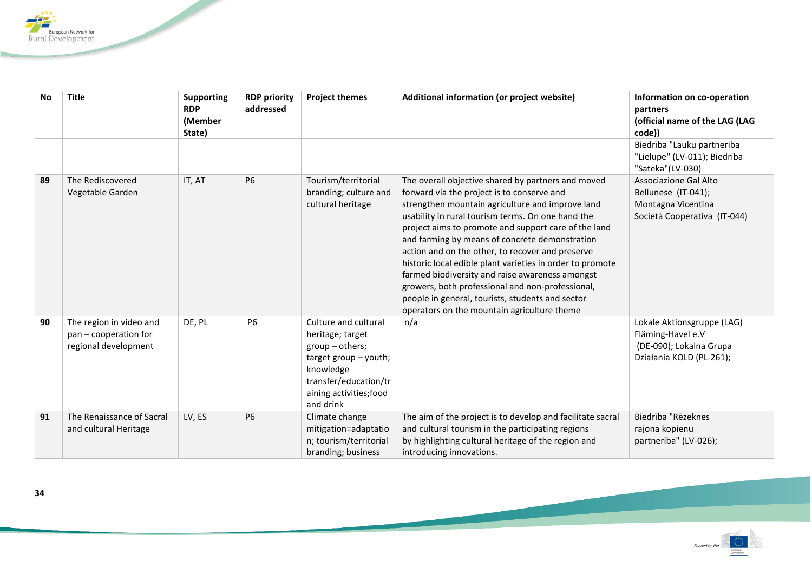

| <b>No</b> | <b>Title</b>                                                             | <b>Supporting</b><br><b>RDP</b><br>(Member<br>State) | <b>RDP priority</b><br>addressed | <b>Project themes</b>                                                                                                                                                | Additional information (or project website)                                                                                                                                                                                                                                                                                                                                                                                                                                                                                                                                                                                                    | Information on co-operation<br>partners<br>(official name of the LAG (LAG<br>code))                    |
|-----------|--------------------------------------------------------------------------|------------------------------------------------------|----------------------------------|----------------------------------------------------------------------------------------------------------------------------------------------------------------------|------------------------------------------------------------------------------------------------------------------------------------------------------------------------------------------------------------------------------------------------------------------------------------------------------------------------------------------------------------------------------------------------------------------------------------------------------------------------------------------------------------------------------------------------------------------------------------------------------------------------------------------------|--------------------------------------------------------------------------------------------------------|
|           |                                                                          |                                                      |                                  |                                                                                                                                                                      |                                                                                                                                                                                                                                                                                                                                                                                                                                                                                                                                                                                                                                                | Biedrība "Lauku partneriba<br>"Lielupe" (LV-011); Biedrība<br>"Sateka"(LV-030)                         |
| 89        | The Rediscovered<br>Vegetable Garden                                     | IT, AT                                               | <b>P6</b>                        | Tourism/territorial<br>branding; culture and<br>cultural heritage                                                                                                    | The overall objective shared by partners and moved<br>forward via the project is to conserve and<br>strengthen mountain agriculture and improve land<br>usability in rural tourism terms. On one hand the<br>project aims to promote and support care of the land<br>and farming by means of concrete demonstration<br>action and on the other, to recover and preserve<br>historic local edible plant varieties in order to promote<br>farmed biodiversity and raise awareness amongst<br>growers, both professional and non-professional,<br>people in general, tourists, students and sector<br>operators on the mountain agriculture theme | Associazione Gal Alto<br>Bellunese (IT-041);<br>Montagna Vicentina<br>Società Cooperativa (IT-044)     |
| 90        | The region in video and<br>pan - cooperation for<br>regional development | DE, PL                                               | <b>P6</b>                        | Culture and cultural<br>heritage; target<br>group - others;<br>target group $-$ youth;<br>knowledge<br>transfer/education/tr<br>aining activities; food<br>and drink | n/a                                                                                                                                                                                                                                                                                                                                                                                                                                                                                                                                                                                                                                            | Lokale Aktionsgruppe (LAG)<br>Fläming-Havel e.V<br>(DE-090); Lokalna Grupa<br>Działania KOLD (PL-261); |
| 91        | The Renaissance of Sacral<br>and cultural Heritage                       | LV, ES                                               | <b>P6</b>                        | Climate change<br>mitigation=adaptatio<br>n; tourism/territorial<br>branding; business                                                                               | The aim of the project is to develop and facilitate sacral<br>and cultural tourism in the participating regions<br>by highlighting cultural heritage of the region and<br>introducing innovations.                                                                                                                                                                                                                                                                                                                                                                                                                                             | Biedrība "Rēzeknes<br>rajona kopienu<br>partnerība" (LV-026);                                          |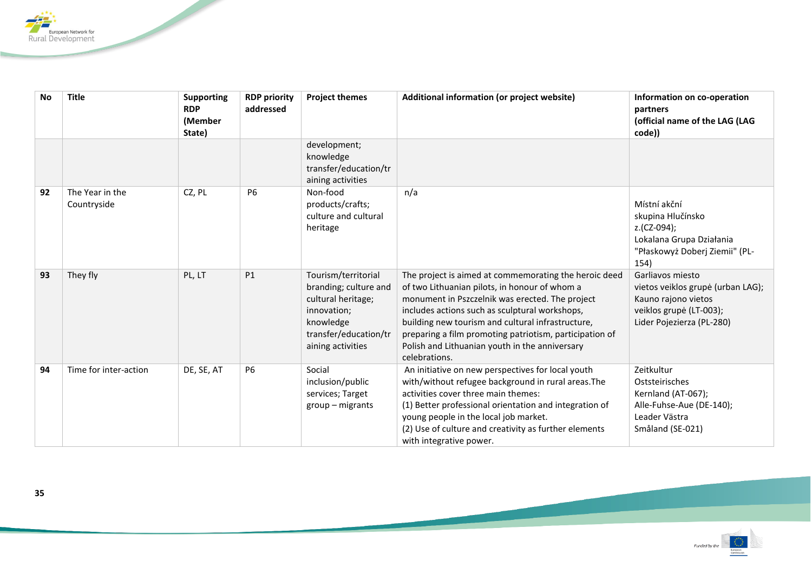

| <b>No</b> | <b>Title</b>                   | <b>Supporting</b><br><b>RDP</b><br>(Member<br>State) | <b>RDP priority</b><br>addressed | <b>Project themes</b>                                                                                                                        | Additional information (or project website)                                                                                                                                                                                                                                                                                                                                                    | Information on co-operation<br>partners<br>(official name of the LAG (LAG<br>code))                                                  |
|-----------|--------------------------------|------------------------------------------------------|----------------------------------|----------------------------------------------------------------------------------------------------------------------------------------------|------------------------------------------------------------------------------------------------------------------------------------------------------------------------------------------------------------------------------------------------------------------------------------------------------------------------------------------------------------------------------------------------|--------------------------------------------------------------------------------------------------------------------------------------|
|           |                                |                                                      |                                  | development;<br>knowledge<br>transfer/education/tr<br>aining activities                                                                      |                                                                                                                                                                                                                                                                                                                                                                                                |                                                                                                                                      |
| 92        | The Year in the<br>Countryside | CZ, PL                                               | <b>P6</b>                        | Non-food<br>products/crafts;<br>culture and cultural<br>heritage                                                                             | n/a                                                                                                                                                                                                                                                                                                                                                                                            | Místní akční<br>skupina Hlučínsko<br>z.(CZ-094);<br>Lokalana Grupa Działania<br>"Płaskowyż Doberj Ziemii" (PL-<br>154)               |
| 93        | They fly                       | PL, LT                                               | P1                               | Tourism/territorial<br>branding; culture and<br>cultural heritage;<br>innovation;<br>knowledge<br>transfer/education/tr<br>aining activities | The project is aimed at commemorating the heroic deed<br>of two Lithuanian pilots, in honour of whom a<br>monument in Pszczelnik was erected. The project<br>includes actions such as sculptural workshops,<br>building new tourism and cultural infrastructure,<br>preparing a film promoting patriotism, participation of<br>Polish and Lithuanian youth in the anniversary<br>celebrations. | Garliavos miesto<br>vietos veiklos grupė (urban LAG);<br>Kauno rajono vietos<br>veiklos grupė (LT-003);<br>Lider Pojezierza (PL-280) |
| 94        | Time for inter-action          | DE, SE, AT                                           | P6                               | Social<br>inclusion/public<br>services; Target<br>$group - migrants$                                                                         | An initiative on new perspectives for local youth<br>with/without refugee background in rural areas. The<br>activities cover three main themes:<br>(1) Better professional orientation and integration of<br>young people in the local job market.<br>(2) Use of culture and creativity as further elements<br>with integrative power.                                                         | Zeitkultur<br>Oststeirisches<br>Kernland (AT-067);<br>Alle-Fuhse-Aue (DE-140);<br>Leader Västra<br>Småland (SE-021)                  |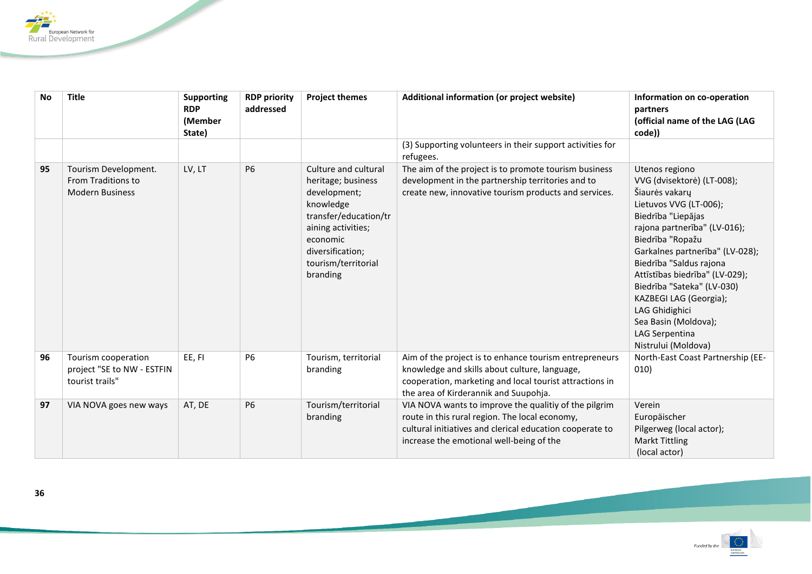

| <b>No</b> | <b>Title</b>                                                         | Supporting<br><b>RDP</b><br>(Member<br>State) | <b>RDP priority</b><br>addressed | <b>Project themes</b>                                                                                                                                                                     | Additional information (or project website)                                                                                                                                                                     | Information on co-operation<br>partners<br>(official name of the LAG (LAG<br>code))                                                                                                                                                                                                                                                                                                                           |
|-----------|----------------------------------------------------------------------|-----------------------------------------------|----------------------------------|-------------------------------------------------------------------------------------------------------------------------------------------------------------------------------------------|-----------------------------------------------------------------------------------------------------------------------------------------------------------------------------------------------------------------|---------------------------------------------------------------------------------------------------------------------------------------------------------------------------------------------------------------------------------------------------------------------------------------------------------------------------------------------------------------------------------------------------------------|
|           |                                                                      |                                               |                                  |                                                                                                                                                                                           | (3) Supporting volunteers in their support activities for<br>refugees.                                                                                                                                          |                                                                                                                                                                                                                                                                                                                                                                                                               |
| 95        | Tourism Development.<br>From Traditions to<br><b>Modern Business</b> | LV, LT                                        | <b>P6</b>                        | Culture and cultural<br>heritage; business<br>development;<br>knowledge<br>transfer/education/tr<br>aining activities;<br>economic<br>diversification;<br>tourism/territorial<br>branding | The aim of the project is to promote tourism business<br>development in the partnership territories and to<br>create new, innovative tourism products and services.                                             | Utenos regiono<br>VVG (dvisektorė) (LT-008);<br>Šiaurės vakarų<br>Lietuvos VVG (LT-006);<br>Biedrība "Liepājas<br>rajona partnerība" (LV-016);<br>Biedrība "Ropažu<br>Garkalnes partnerība" (LV-028);<br>Biedrība "Saldus rajona<br>Attīstības biedrība" (LV-029);<br>Biedrība "Sateka" (LV-030)<br>KAZBEGI LAG (Georgia);<br>LAG Ghidighici<br>Sea Basin (Moldova);<br>LAG Serpentina<br>Nistrului (Moldova) |
| 96        | Tourism cooperation<br>project "SE to NW - ESTFIN<br>tourist trails" | EE, FI                                        | <b>P6</b>                        | Tourism, territorial<br>branding                                                                                                                                                          | Aim of the project is to enhance tourism entrepreneurs<br>knowledge and skills about culture, language,<br>cooperation, marketing and local tourist attractions in<br>the area of Kirderannik and Suupohja.     | North-East Coast Partnership (EE-<br>010)                                                                                                                                                                                                                                                                                                                                                                     |
| 97        | VIA NOVA goes new ways                                               | AT, DE                                        | P6                               | Tourism/territorial<br>branding                                                                                                                                                           | VIA NOVA wants to improve the qualitiy of the pilgrim<br>route in this rural region. The local economy,<br>cultural initiatives and clerical education cooperate to<br>increase the emotional well-being of the | Verein<br>Europäischer<br>Pilgerweg (local actor);<br><b>Markt Tittling</b><br>(local actor)                                                                                                                                                                                                                                                                                                                  |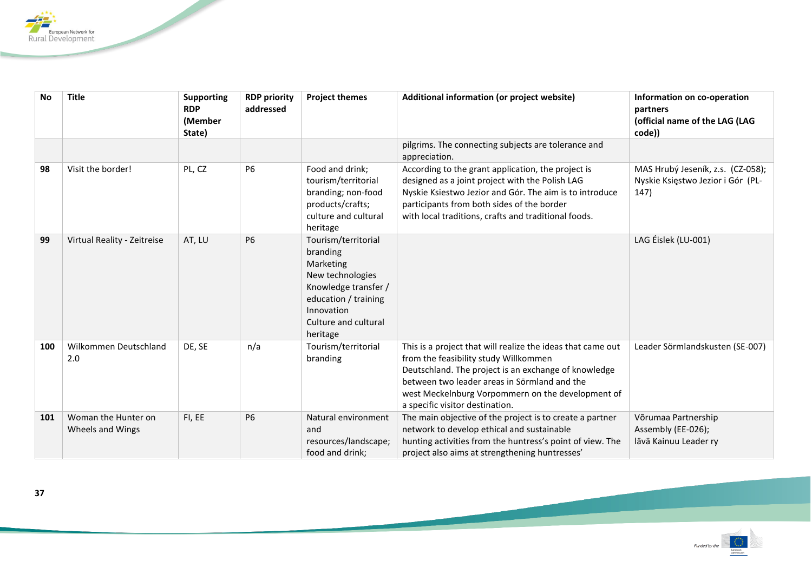

| <b>No</b> | <b>Title</b>                            | <b>Supporting</b><br><b>RDP</b><br>(Member<br>State) | <b>RDP priority</b><br>addressed | <b>Project themes</b>                                                                                                                                              | Additional information (or project website)                                                                                                                                                                                                                                                          | Information on co-operation<br>partners<br>(official name of the LAG (LAG<br>code)) |
|-----------|-----------------------------------------|------------------------------------------------------|----------------------------------|--------------------------------------------------------------------------------------------------------------------------------------------------------------------|------------------------------------------------------------------------------------------------------------------------------------------------------------------------------------------------------------------------------------------------------------------------------------------------------|-------------------------------------------------------------------------------------|
|           |                                         |                                                      |                                  |                                                                                                                                                                    | pilgrims. The connecting subjects are tolerance and<br>appreciation.                                                                                                                                                                                                                                 |                                                                                     |
| 98        | Visit the border!                       | PL, CZ                                               | <b>P6</b>                        | Food and drink;<br>tourism/territorial<br>branding; non-food<br>products/crafts;<br>culture and cultural<br>heritage                                               | According to the grant application, the project is<br>designed as a joint project with the Polish LAG<br>Nyskie Ksiestwo Jezior and Gór. The aim is to introduce<br>participants from both sides of the border<br>with local traditions, crafts and traditional foods.                               | MAS Hrubý Jeseník, z.s. (CZ-058);<br>Nyskie Księstwo Jezior i Gór (PL-<br>147)      |
| 99        | Virtual Reality - Zeitreise             | AT, LU                                               | <b>P6</b>                        | Tourism/territorial<br>branding<br>Marketing<br>New technologies<br>Knowledge transfer /<br>education / training<br>Innovation<br>Culture and cultural<br>heritage |                                                                                                                                                                                                                                                                                                      | LAG Éislek (LU-001)                                                                 |
| 100       | Wilkommen Deutschland<br>2.0            | DE, SE                                               | n/a                              | Tourism/territorial<br>branding                                                                                                                                    | This is a project that will realize the ideas that came out<br>from the feasibility study Willkommen<br>Deutschland. The project is an exchange of knowledge<br>between two leader areas in Sörmland and the<br>west Meckelnburg Vorpommern on the development of<br>a specific visitor destination. | Leader Sörmlandskusten (SE-007)                                                     |
| 101       | Woman the Hunter on<br>Wheels and Wings | FI, EE                                               | <b>P6</b>                        | Natural environment<br>and<br>resources/landscape;<br>food and drink;                                                                                              | The main objective of the project is to create a partner<br>network to develop ethical and sustainable<br>hunting activities from the huntress's point of view. The<br>project also aims at strengthening huntresses'                                                                                | Võrumaa Partnership<br>Assembly (EE-026);<br>lävä Kainuu Leader ry                  |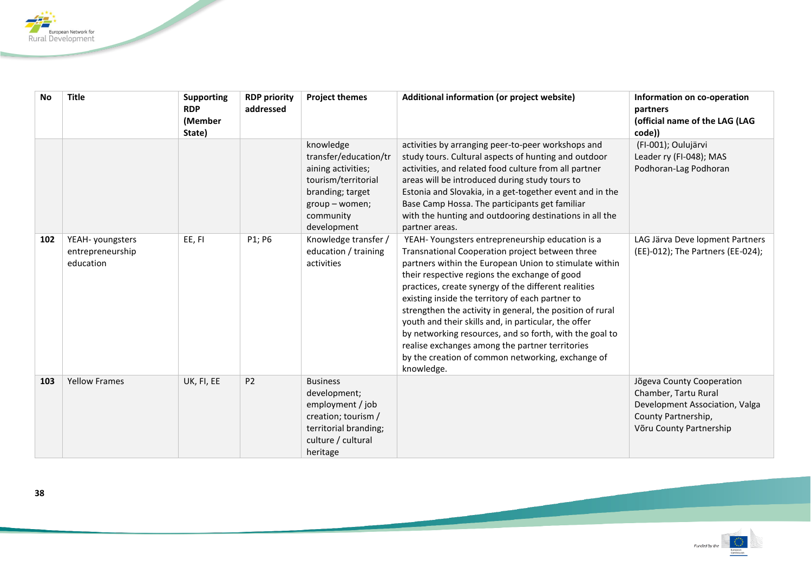

| <b>No</b> | <b>Title</b>                                      | <b>Supporting</b><br><b>RDP</b><br>(Member | <b>RDP priority</b><br>addressed | <b>Project themes</b>                                                                                                                             | Additional information (or project website)                                                                                                                                                                                                                                                                                                                                                                                                                                                                                                                                                                                     | Information on co-operation<br>partners<br>(official name of the LAG (LAG                                                             |
|-----------|---------------------------------------------------|--------------------------------------------|----------------------------------|---------------------------------------------------------------------------------------------------------------------------------------------------|---------------------------------------------------------------------------------------------------------------------------------------------------------------------------------------------------------------------------------------------------------------------------------------------------------------------------------------------------------------------------------------------------------------------------------------------------------------------------------------------------------------------------------------------------------------------------------------------------------------------------------|---------------------------------------------------------------------------------------------------------------------------------------|
|           |                                                   | State)                                     |                                  | knowledge<br>transfer/education/tr<br>aining activities;<br>tourism/territorial<br>branding; target<br>group - women;<br>community<br>development | activities by arranging peer-to-peer workshops and<br>study tours. Cultural aspects of hunting and outdoor<br>activities, and related food culture from all partner<br>areas will be introduced during study tours to<br>Estonia and Slovakia, in a get-together event and in the<br>Base Camp Hossa. The participants get familiar<br>with the hunting and outdooring destinations in all the<br>partner areas.                                                                                                                                                                                                                | code))<br>(FI-001); Oulujärvi<br>Leader ry (FI-048); MAS<br>Podhoran-Lag Podhoran                                                     |
| 102       | YEAH- youngsters<br>entrepreneurship<br>education | EE, FI                                     | P1; P6                           | Knowledge transfer /<br>education / training<br>activities                                                                                        | YEAH-Youngsters entrepreneurship education is a<br>Transnational Cooperation project between three<br>partners within the European Union to stimulate within<br>their respective regions the exchange of good<br>practices, create synergy of the different realities<br>existing inside the territory of each partner to<br>strengthen the activity in general, the position of rural<br>youth and their skills and, in particular, the offer<br>by networking resources, and so forth, with the goal to<br>realise exchanges among the partner territories<br>by the creation of common networking, exchange of<br>knowledge. | LAG Järva Deve lopment Partners<br>(EE)-012); The Partners (EE-024);                                                                  |
| 103       | <b>Yellow Frames</b>                              | UK, FI, EE                                 | <b>P2</b>                        | <b>Business</b><br>development;<br>employment / job<br>creation; tourism /<br>territorial branding;<br>culture / cultural<br>heritage             |                                                                                                                                                                                                                                                                                                                                                                                                                                                                                                                                                                                                                                 | Jõgeva County Cooperation<br>Chamber, Tartu Rural<br>Development Association, Valga<br>County Partnership,<br>Võru County Partnership |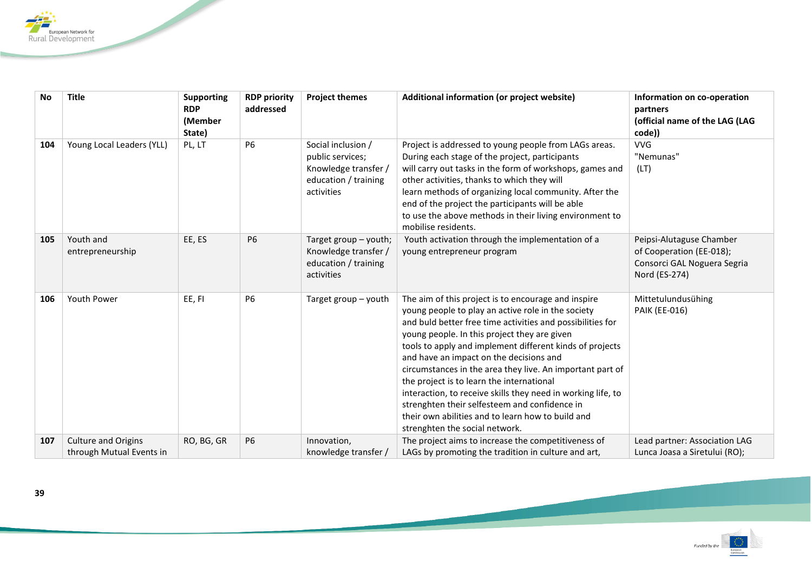

| <b>No</b> | <b>Title</b>                                           | <b>Supporting</b><br><b>RDP</b><br>(Member<br>State) | <b>RDP priority</b><br>addressed | <b>Project themes</b>                                                                                | Additional information (or project website)                                                                                                                                                                                                                                                                                                                                                                                                                                                                                                                                                                                                      | Information on co-operation<br>partners<br>(official name of the LAG (LAG<br>code))                  |
|-----------|--------------------------------------------------------|------------------------------------------------------|----------------------------------|------------------------------------------------------------------------------------------------------|--------------------------------------------------------------------------------------------------------------------------------------------------------------------------------------------------------------------------------------------------------------------------------------------------------------------------------------------------------------------------------------------------------------------------------------------------------------------------------------------------------------------------------------------------------------------------------------------------------------------------------------------------|------------------------------------------------------------------------------------------------------|
| 104       | Young Local Leaders (YLL)                              | PL, LT                                               | <b>P6</b>                        | Social inclusion /<br>public services;<br>Knowledge transfer /<br>education / training<br>activities | Project is addressed to young people from LAGs areas.<br>During each stage of the project, participants<br>will carry out tasks in the form of workshops, games and<br>other activities, thanks to which they will<br>learn methods of organizing local community. After the<br>end of the project the participants will be able<br>to use the above methods in their living environment to<br>mobilise residents.                                                                                                                                                                                                                               | <b>VVG</b><br>"Nemunas"<br>(LT)                                                                      |
| 105       | Youth and<br>entrepreneurship                          | EE, ES                                               | <b>P6</b>                        | Target group $-$ youth;<br>Knowledge transfer /<br>education / training<br>activities                | Youth activation through the implementation of a<br>young entrepreneur program                                                                                                                                                                                                                                                                                                                                                                                                                                                                                                                                                                   | Peipsi-Alutaguse Chamber<br>of Cooperation (EE-018);<br>Consorci GAL Noguera Segria<br>Nord (ES-274) |
| 106       | <b>Youth Power</b>                                     | EE, FI                                               | P <sub>6</sub>                   | Target group - youth                                                                                 | The aim of this project is to encourage and inspire<br>young people to play an active role in the society<br>and buld better free time activities and possibilities for<br>young people. In this project they are given<br>tools to apply and implement different kinds of projects<br>and have an impact on the decisions and<br>circumstances in the area they live. An important part of<br>the project is to learn the international<br>interaction, to receive skills they need in working life, to<br>strenghten their selfesteem and confidence in<br>their own abilities and to learn how to build and<br>strenghten the social network. | Mittetulundusühing<br><b>PAIK (EE-016)</b>                                                           |
| 107       | <b>Culture and Origins</b><br>through Mutual Events in | RO, BG, GR                                           | <b>P6</b>                        | Innovation,<br>knowledge transfer /                                                                  | The project aims to increase the competitiveness of<br>LAGs by promoting the tradition in culture and art,                                                                                                                                                                                                                                                                                                                                                                                                                                                                                                                                       | Lead partner: Association LAG<br>Lunca Joasa a Siretului (RO);                                       |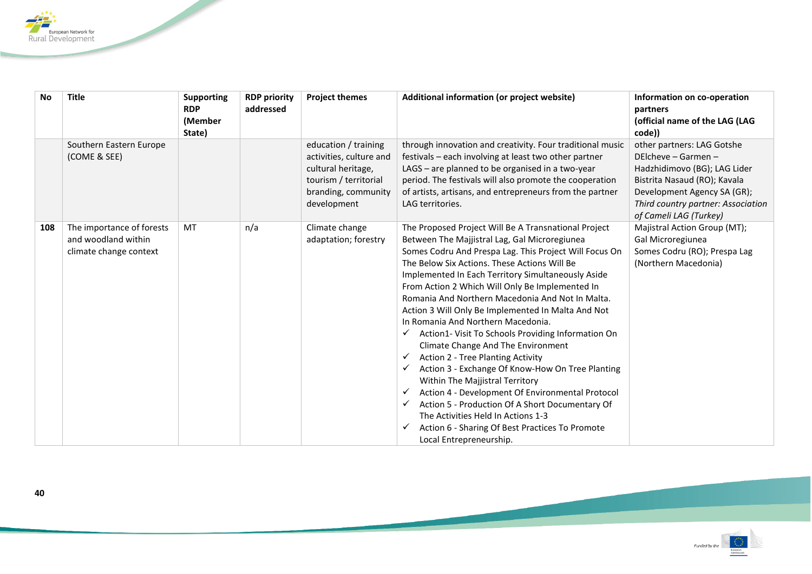

| <b>No</b> | <b>Title</b>                                                               | <b>Supporting</b><br><b>RDP</b><br>(Member<br>State) | <b>RDP priority</b><br>addressed | <b>Project themes</b>                                                                                                                | Additional information (or project website)                                                                                                                                                                                                                                                                                                                                                                                                                                                                                                                                                                                                                                                                                                                                                                                                                                                                                                         | Information on co-operation<br>partners<br>(official name of the LAG (LAG)<br>code))                                                                                                                             |
|-----------|----------------------------------------------------------------------------|------------------------------------------------------|----------------------------------|--------------------------------------------------------------------------------------------------------------------------------------|-----------------------------------------------------------------------------------------------------------------------------------------------------------------------------------------------------------------------------------------------------------------------------------------------------------------------------------------------------------------------------------------------------------------------------------------------------------------------------------------------------------------------------------------------------------------------------------------------------------------------------------------------------------------------------------------------------------------------------------------------------------------------------------------------------------------------------------------------------------------------------------------------------------------------------------------------------|------------------------------------------------------------------------------------------------------------------------------------------------------------------------------------------------------------------|
|           | Southern Eastern Europe<br>(COME & SEE)                                    |                                                      |                                  | education / training<br>activities, culture and<br>cultural heritage,<br>tourism / territorial<br>branding, community<br>development | through innovation and creativity. Four traditional music<br>festivals - each involving at least two other partner<br>LAGS - are planned to be organised in a two-year<br>period. The festivals will also promote the cooperation<br>of artists, artisans, and entrepreneurs from the partner<br>LAG territories.                                                                                                                                                                                                                                                                                                                                                                                                                                                                                                                                                                                                                                   | other partners: LAG Gotshe<br>DElcheve - Garmen -<br>Hadzhidimovo (BG); LAG Lider<br>Bistrita Nasaud (RO); Kavala<br>Development Agency SA (GR);<br>Third country partner: Association<br>of Cameli LAG (Turkey) |
| 108       | The importance of forests<br>and woodland within<br>climate change context | MT                                                   | n/a                              | Climate change<br>adaptation; forestry                                                                                               | The Proposed Project Will Be A Transnational Project<br>Between The Majjistral Lag, Gal Microregiunea<br>Somes Codru And Prespa Lag. This Project Will Focus On<br>The Below Six Actions. These Actions Will Be<br>Implemented In Each Territory Simultaneously Aside<br>From Action 2 Which Will Only Be Implemented In<br>Romania And Northern Macedonia And Not In Malta.<br>Action 3 Will Only Be Implemented In Malta And Not<br>In Romania And Northern Macedonia.<br>Action1-Visit To Schools Providing Information On<br>✓<br>Climate Change And The Environment<br>Action 2 - Tree Planting Activity<br>✓<br>Action 3 - Exchange Of Know-How On Tree Planting<br>✓<br>Within The Majjistral Territory<br>Action 4 - Development Of Environmental Protocol<br>✓<br>Action 5 - Production Of A Short Documentary Of<br>✓<br>The Activities Held In Actions 1-3<br>Action 6 - Sharing Of Best Practices To Promote<br>Local Entrepreneurship. | Majistral Action Group (MT);<br>Gal Microregiunea<br>Somes Codru (RO); Prespa Lag<br>(Northern Macedonia)                                                                                                        |

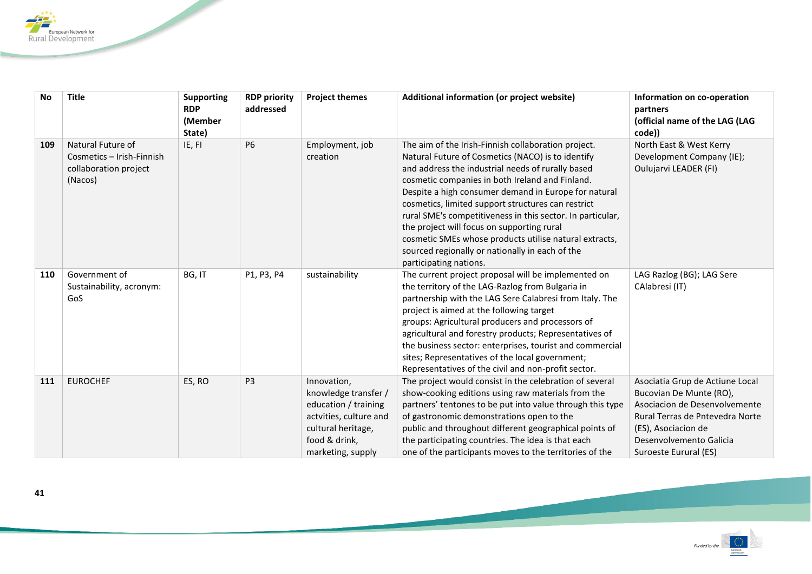

| <b>No</b> | <b>Title</b>                                                                       | <b>Supporting</b><br><b>RDP</b><br>(Member<br>State) | <b>RDP priority</b><br>addressed | <b>Project themes</b>                                                                                                                             | Additional information (or project website)                                                                                                                                                                                                                                                                                                                                                                                                                                                                                                                                       | Information on co-operation<br>partners<br>(official name of the LAG (LAG<br>code))                                                                                                                       |
|-----------|------------------------------------------------------------------------------------|------------------------------------------------------|----------------------------------|---------------------------------------------------------------------------------------------------------------------------------------------------|-----------------------------------------------------------------------------------------------------------------------------------------------------------------------------------------------------------------------------------------------------------------------------------------------------------------------------------------------------------------------------------------------------------------------------------------------------------------------------------------------------------------------------------------------------------------------------------|-----------------------------------------------------------------------------------------------------------------------------------------------------------------------------------------------------------|
| 109       | Natural Future of<br>Cosmetics - Irish-Finnish<br>collaboration project<br>(Nacos) | IE, FI                                               | <b>P6</b>                        | Employment, job<br>creation                                                                                                                       | The aim of the Irish-Finnish collaboration project.<br>Natural Future of Cosmetics (NACO) is to identify<br>and address the industrial needs of rurally based<br>cosmetic companies in both Ireland and Finland.<br>Despite a high consumer demand in Europe for natural<br>cosmetics, limited support structures can restrict<br>rural SME's competitiveness in this sector. In particular,<br>the project will focus on supporting rural<br>cosmetic SMEs whose products utilise natural extracts,<br>sourced regionally or nationally in each of the<br>participating nations. | North East & West Kerry<br>Development Company (IE);<br>Oulujarvi LEADER (FI)                                                                                                                             |
| 110       | Government of<br>Sustainability, acronym:<br>GoS                                   | BG, IT                                               | P1, P3, P4                       | sustainability                                                                                                                                    | The current project proposal will be implemented on<br>the territory of the LAG-Razlog from Bulgaria in<br>partnership with the LAG Sere Calabresi from Italy. The<br>project is aimed at the following target<br>groups: Agricultural producers and processors of<br>agricultural and forestry products; Representatives of<br>the business sector: enterprises, tourist and commercial<br>sites; Representatives of the local government;<br>Representatives of the civil and non-profit sector.                                                                                | LAG Razlog (BG); LAG Sere<br>CAlabresi (IT)                                                                                                                                                               |
| 111       | <b>EUROCHEF</b>                                                                    | ES, RO                                               | P <sub>3</sub>                   | Innovation,<br>knowledge transfer /<br>education / training<br>actvities, culture and<br>cultural heritage,<br>food & drink,<br>marketing, supply | The project would consist in the celebration of several<br>show-cooking editions using raw materials from the<br>partners' tentones to be put into value through this type<br>of gastronomic demonstrations open to the<br>public and throughout different geographical points of<br>the participating countries. The idea is that each<br>one of the participants moves to the territories of the                                                                                                                                                                                | Asociatia Grup de Actiune Local<br>Bucovian De Munte (RO),<br>Asociacion de Desenvolvemente<br>Rural Terras de Pntevedra Norte<br>(ES), Asociacion de<br>Desenvolvemento Galicia<br>Suroeste Eurural (ES) |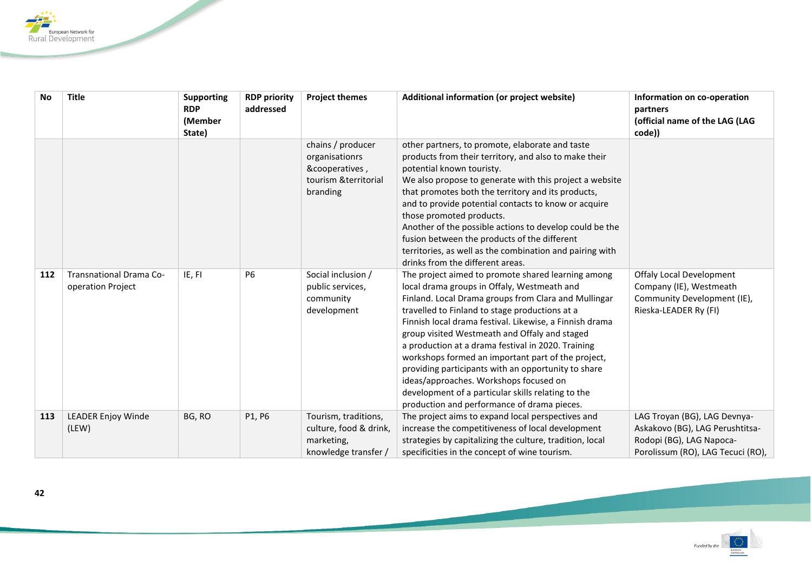

| <b>No</b> | <b>Title</b>                                 | <b>Supporting</b><br><b>RDP</b> | <b>RDP priority</b><br>addressed | <b>Project themes</b>                                                                      | Additional information (or project website)                                                                                                                                                                                                                                                                                                                                                                                                                                                                                                                                                                                               | Information on co-operation<br>partners                                                                                          |
|-----------|----------------------------------------------|---------------------------------|----------------------------------|--------------------------------------------------------------------------------------------|-------------------------------------------------------------------------------------------------------------------------------------------------------------------------------------------------------------------------------------------------------------------------------------------------------------------------------------------------------------------------------------------------------------------------------------------------------------------------------------------------------------------------------------------------------------------------------------------------------------------------------------------|----------------------------------------------------------------------------------------------------------------------------------|
|           |                                              | (Member<br>State)               |                                  |                                                                                            |                                                                                                                                                                                                                                                                                                                                                                                                                                                                                                                                                                                                                                           | (official name of the LAG (LAG<br>code))                                                                                         |
|           |                                              |                                 |                                  | chains / producer<br>organisationrs<br>&cooperatives,<br>tourism & territorial<br>branding | other partners, to promote, elaborate and taste<br>products from their territory, and also to make their<br>potential known touristy.<br>We also propose to generate with this project a website<br>that promotes both the territory and its products,<br>and to provide potential contacts to know or acquire<br>those promoted products.<br>Another of the possible actions to develop could be the<br>fusion between the products of the different<br>territories, as well as the combination and pairing with<br>drinks from the different areas.                                                                                     |                                                                                                                                  |
| 112       | Transnational Drama Co-<br>operation Project | IE, FI                          | <b>P6</b>                        | Social inclusion /<br>public services,<br>community<br>development                         | The project aimed to promote shared learning among<br>local drama groups in Offaly, Westmeath and<br>Finland. Local Drama groups from Clara and Mullingar<br>travelled to Finland to stage productions at a<br>Finnish local drama festival. Likewise, a Finnish drama<br>group visited Westmeath and Offaly and staged<br>a production at a drama festival in 2020. Training<br>workshops formed an important part of the project,<br>providing participants with an opportunity to share<br>ideas/approaches. Workshops focused on<br>development of a particular skills relating to the<br>production and performance of drama pieces. | <b>Offaly Local Development</b><br>Company (IE), Westmeath<br>Community Development (IE),<br>Rieska-LEADER Ry (FI)               |
| 113       | <b>LEADER Enjoy Winde</b><br>(LEW)           | BG, RO                          | P1, P6                           | Tourism, traditions,<br>culture, food & drink,<br>marketing,<br>knowledge transfer /       | The project aims to expand local perspectives and<br>increase the competitiveness of local development<br>strategies by capitalizing the culture, tradition, local<br>specificities in the concept of wine tourism.                                                                                                                                                                                                                                                                                                                                                                                                                       | LAG Troyan (BG), LAG Devnya-<br>Askakovo (BG), LAG Perushtitsa-<br>Rodopi (BG), LAG Napoca-<br>Porolissum (RO), LAG Tecuci (RO), |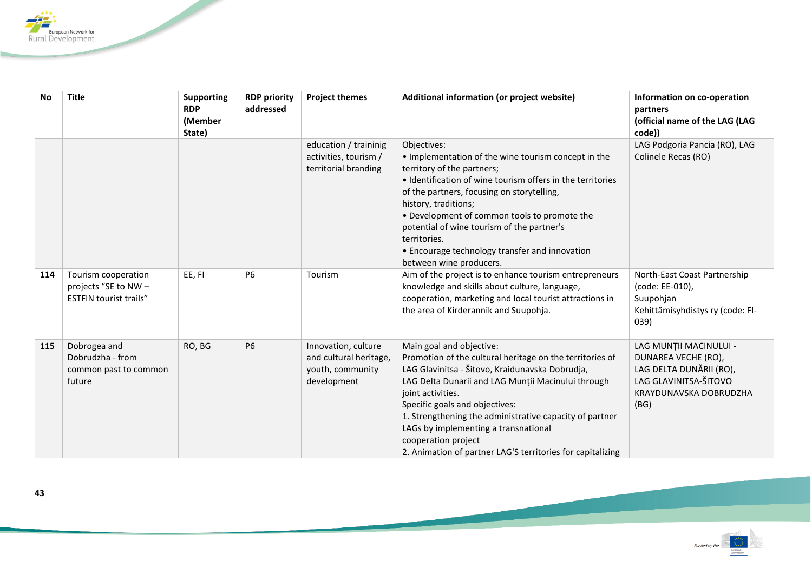

| <b>No</b> | <b>Title</b>                                                                 | <b>Supporting</b><br><b>RDP</b><br>(Member<br>State) | <b>RDP priority</b><br>addressed | <b>Project themes</b>                                                            | Additional information (or project website)                                                                                                                                                                                                                                                                                                                                                                                                  | Information on co-operation<br>partners<br>(official name of the LAG (LAG<br>code))                                                 |
|-----------|------------------------------------------------------------------------------|------------------------------------------------------|----------------------------------|----------------------------------------------------------------------------------|----------------------------------------------------------------------------------------------------------------------------------------------------------------------------------------------------------------------------------------------------------------------------------------------------------------------------------------------------------------------------------------------------------------------------------------------|-------------------------------------------------------------------------------------------------------------------------------------|
|           |                                                                              |                                                      |                                  | education / traininig<br>activities, tourism /<br>territorial branding           | Objectives:<br>• Implementation of the wine tourism concept in the<br>territory of the partners;<br>• Identification of wine tourism offers in the territories<br>of the partners, focusing on storytelling,<br>history, traditions;<br>• Development of common tools to promote the<br>potential of wine tourism of the partner's<br>territories.<br>• Encourage technology transfer and innovation<br>between wine producers.              | LAG Podgoria Pancia (RO), LAG<br>Colinele Recas (RO)                                                                                |
| 114       | Tourism cooperation<br>projects "SE to NW -<br><b>ESTFIN tourist trails"</b> | EE, FI                                               | P <sub>6</sub>                   | Tourism                                                                          | Aim of the project is to enhance tourism entrepreneurs<br>knowledge and skills about culture, language,<br>cooperation, marketing and local tourist attractions in<br>the area of Kirderannik and Suupohja.                                                                                                                                                                                                                                  | North-East Coast Partnership<br>(code: EE-010),<br>Suupohjan<br>Kehittämisyhdistys ry (code: FI-<br>039)                            |
| 115       | Dobrogea and<br>Dobrudzha - from<br>common past to common<br>future          | RO, BG                                               | <b>P6</b>                        | Innovation, culture<br>and cultural heritage,<br>youth, community<br>development | Main goal and objective:<br>Promotion of the cultural heritage on the territories of<br>LAG Glavinitsa - Šitovo, Kraidunavska Dobrudja,<br>LAG Delta Dunarii and LAG Munții Macinului through<br>joint activities.<br>Specific goals and objectives:<br>1. Strengthening the administrative capacity of partner<br>LAGs by implementing a transnational<br>cooperation project<br>2. Animation of partner LAG'S territories for capitalizing | LAG MUNȚII MACINULUI -<br>DUNAREA VECHE (RO),<br>LAG DELTA DUNĂRII (RO),<br>LAG GLAVINITSA-ŠITOVO<br>KRAYDUNAVSKA DOBRUDZHA<br>(BG) |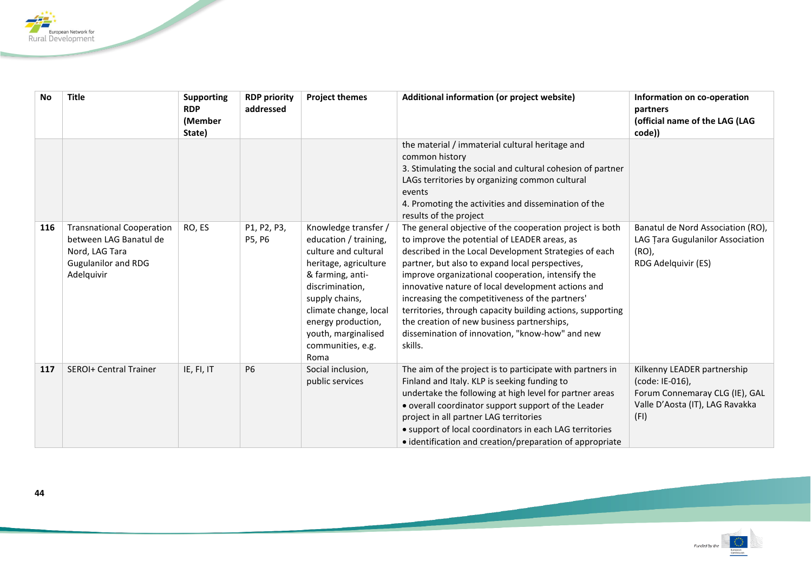

| <b>No</b> | <b>Title</b>                                                                                                             | <b>Supporting</b><br><b>RDP</b><br>(Member<br>State) | <b>RDP priority</b><br>addressed | <b>Project themes</b>                                                                                                                                                                                                                                      | Additional information (or project website)                                                                                                                                                                                                                                                                                                                                                                                                                                                                                                                  | Information on co-operation<br>partners<br>(official name of the LAG (LAG<br>code))                                         |
|-----------|--------------------------------------------------------------------------------------------------------------------------|------------------------------------------------------|----------------------------------|------------------------------------------------------------------------------------------------------------------------------------------------------------------------------------------------------------------------------------------------------------|--------------------------------------------------------------------------------------------------------------------------------------------------------------------------------------------------------------------------------------------------------------------------------------------------------------------------------------------------------------------------------------------------------------------------------------------------------------------------------------------------------------------------------------------------------------|-----------------------------------------------------------------------------------------------------------------------------|
|           |                                                                                                                          |                                                      |                                  |                                                                                                                                                                                                                                                            | the material / immaterial cultural heritage and<br>common history<br>3. Stimulating the social and cultural cohesion of partner<br>LAGs territories by organizing common cultural<br>events<br>4. Promoting the activities and dissemination of the<br>results of the project                                                                                                                                                                                                                                                                                |                                                                                                                             |
| 116       | <b>Transnational Cooperation</b><br>between LAG Banatul de<br>Nord, LAG Tara<br><b>Gugulanilor and RDG</b><br>Adelquivir | RO, ES                                               | P1, P2, P3,<br>P5, P6            | Knowledge transfer /<br>education / training,<br>culture and cultural<br>heritage, agriculture<br>& farming, anti-<br>discrimination.<br>supply chains,<br>climate change, local<br>energy production,<br>youth, marginalised<br>communities, e.g.<br>Roma | The general objective of the cooperation project is both<br>to improve the potential of LEADER areas, as<br>described in the Local Development Strategies of each<br>partner, but also to expand local perspectives,<br>improve organizational cooperation, intensify the<br>innovative nature of local development actions and<br>increasing the competitiveness of the partners'<br>territories, through capacity building actions, supporting<br>the creation of new business partnerships,<br>dissemination of innovation, "know-how" and new<br>skills. | Banatul de Nord Association (RO),<br>LAG Tara Gugulanilor Association<br>(RO),<br>RDG Adelquivir (ES)                       |
| 117       | <b>SEROI+ Central Trainer</b>                                                                                            | IE, FI, IT                                           | P <sub>6</sub>                   | Social inclusion,<br>public services                                                                                                                                                                                                                       | The aim of the project is to participate with partners in<br>Finland and Italy. KLP is seeking funding to<br>undertake the following at high level for partner areas<br>• overall coordinator support support of the Leader<br>project in all partner LAG territories<br>• support of local coordinators in each LAG territories<br>• identification and creation/preparation of appropriate                                                                                                                                                                 | Kilkenny LEADER partnership<br>(code: IE-016),<br>Forum Connemaray CLG (IE), GAL<br>Valle D'Aosta (IT), LAG Ravakka<br>(FI) |